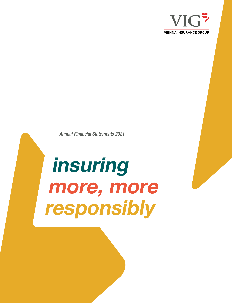

Annual Financial Statements 2021

# insuring more, more responsibly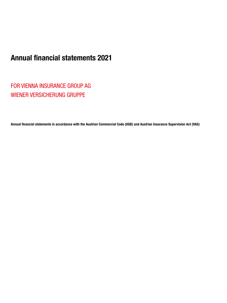# Annual financial statements 2021

FOR VIENNA INSURANCE GROUP AG WIENER VERSICHERUNG GRUPPE

Annual financial statements in accordance with the Austrian Commercial Code (UGB) and Austrian Insurance Supervision Act (VAG)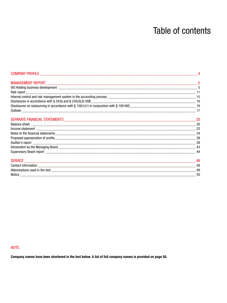# **Table of contents**

| COMPANY PROFILE <b>Example 2018</b>                                                                                     |           |
|-------------------------------------------------------------------------------------------------------------------------|-----------|
|                                                                                                                         |           |
|                                                                                                                         |           |
|                                                                                                                         |           |
|                                                                                                                         |           |
|                                                                                                                         |           |
| Disclosures on outsourcing in accordance with § 156(1)(1) in conjunction with § 109 VAG entitled accordance match of 16 |           |
|                                                                                                                         |           |
|                                                                                                                         | $\sim$ 20 |
|                                                                                                                         | 20        |
|                                                                                                                         | -22       |
|                                                                                                                         | 24        |
|                                                                                                                         |           |
|                                                                                                                         |           |
|                                                                                                                         |           |
|                                                                                                                         | 44        |
|                                                                                                                         | -48       |
|                                                                                                                         |           |
|                                                                                                                         | 49        |
| Notice                                                                                                                  | 50        |

# NOTE:

Company names have been shortened in the text below. A list of full company names is provided on page 50.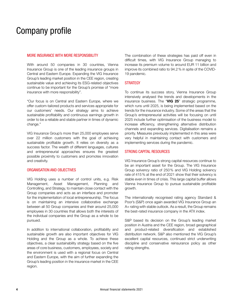# Company profile

#### MORE INSURANCE WITH MORE RESPONSIBILITY

With around 50 companies in 30 countries, Vienna Insurance Group is one of the leading insurance groups in Central and Eastern Europe. Expanding the VIG Insurance Group's leading market position in the CEE region, creating sustainable value and achieving its ESG-related objectives continue to be important for the Group's promise of "more insurance with more responsibility".

"Our focus is on Central and Eastern Europe, where we offer custom-tailored products and services appropriate for our customers' needs. Our strategy aims to achieve sustainable profitability and continuous earnings growth in order to be a reliable and stable partner in times of dynamic change."

VIG Insurance Group's more than 25,000 employees serve over 22 million customers with the goal of achieving sustainable profitable growth. It relies on diversity as a success factor. The wealth of different languages, cultures and entrepreneurial approaches ensures the greatest possible proximity to customers and promotes innovation and creativity.

#### ORGANISATION AND OBJECTIVES

VIG Holding uses a number of control units, e.g. Risk Management, Asset Management, Planning and Controlling, and Strategy, to maintain close contact with the Group companies and acts as an interface and promoter for the implementation of local entrepreneurship. The focus is on maintaining an intensive collaborative exchange between all 50 Group companies and their around 25,000 employees in 30 countries that allows both the interests of the individual companies and the Group as a whole to be pursued.

In addition to international collaboration, profitability and sustainable growth are also important objectives for VIG Holding and the Group as a whole. To achieve these objectives, a clear sustainability strategy based on the five areas of core business, customers, employees, society and the environment is used with a regional focus on Central and Eastern Europe, with the aim of further expanding the Group's leading position in the insurance market in the CEE region.

The combination of these strategies has paid off even in difficult times, with VIG Insurance Group managing to increase its premium volume to around EUR 11 billion and improve its combined ratio to 94.2% in spite of the COVID-19 pandemic.

#### **STRATEGY**

To continue its success story, Vienna Insurance Group intensively analysed the trends and developments in the insurance business. The "VIG 25" strategic programme, which runs until 2025, is being implemented based on the trends for the insurance industry. Some of the areas that the Group's entrepreneurial activities will be focusing on until 2025 include further optimisation of the business model to increase efficiency, strengthening alternative distribution channels and expanding services. Digitalisation remains a priority. Measures previously implemented in this area were very helpful in maintaining contact with customers and implementing services during the pandemic.

#### STRONG CAPITAL RESOURCES

VIG Insurance Group's strong capital resources continue to be an important asset for the Group. The VIG Insurance Group solvency ratio of 250% and VIG Holding solvency rate of 415% at the end of 2021 show that their solvency is stable even in times of crisis. This large capital buffer allows Vienna Insurance Group to pursue sustainable profitable growth.

The internationally recognised rating agency Standard & Poor's (S&P) once again awarded VIG Insurance Group an A+ rating with stable outlook. As a result, the Group remains the best-rated insurance company in the ATX index.

S&P based its decision on the Group's leading market position in Austria and the CEE region, broad geographical and product-related diversification and established distribution network. S&P also mentioned the VIG Group's excellent capital resources, continued strict underwriting discipline and conservative reinsurance policy as other rating strengths.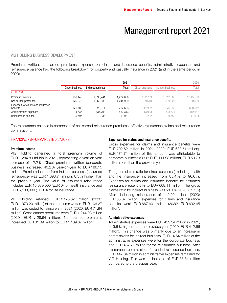# Management report 2021

#### VIG HOLDING BUSINESS DEVELOPMENT

Premiums written, net earned premiums, expenses for claims and insurance benefits, administrative expenses and reinsurance balance had the following breakdown for property and casualty insurance in 2021 (and in the same period in 2020):

|                                               |                 |                   | 2021     |                 |                   | 2020      |
|-----------------------------------------------|-----------------|-------------------|----------|-----------------|-------------------|-----------|
|                                               | Direct business | Indirect business | Total    | Direct business | Indirect business | Total     |
| in EUR '000                                   |                 |                   |          |                 |                   |           |
| Premiums written                              | 186.149         | 1.098.741         | .284.890 | 132,753         | .012,385          | 1,145,138 |
| Net earned premiums                           | 176.543         | 1.068.386         | .244.929 | 129,610         | 999,029           | 1,128,639 |
| Expenses for claims and insurance<br>benefits | 171.709         | 620.914           | 792.623  | 111,982         | 576,530           | 688,512   |
| Administrative expenses                       | 14.635          | 437,708           | 452.343  | 13,983          | 398.674           | 412,657   |
| Reinsurance balance                           | 15.797          | $-3,836$          | 11,961   | $-282$          | $-10,752$         | $-11,034$ |

The reinsurance balance is composed of net earned reinsurance premiums, effective reinsurance claims and reinsurance commissions.

#### FINANCIAL PERFORMANCE INDICATORS

#### Premium income

VIG Holding generated a total premium volume of EUR 1,284.89 million in 2021, representing a year-on-year increase of 12.2%. Direct premiums written (corporate business) increased 40.2% year-on-year to EUR 186.15 million. Premium income from indirect business (assumed reinsurance) was EUR 1,098.74 million, 8.5% higher than the previous year. The value of assumed reinsurance includes EUR 15,639,000 (EUR 0) for health insurance and EUR 5,133,000 (EUR 0) for life insurance.

VIG Holding retained EUR 1,178.62 million (2020: EUR 1,073.20 million) of the premiums written. EUR 106.27 million was ceded to reinsurers in 2021 (2020: EUR 71.94 million). Gross earned premiums were EUR 1,244.93 million (2020: EUR 1,128.64 million). Net earned premiums increased EUR 81.09 million to EUR 1,139.67 million.

#### Expenses for claims and insurance benefits

Gross expenses for claims and insurance benefits were EUR 792.62 million in 2021 (2020: EUR 688.51 million). EUR 171.71 million of this amount was attributable to corporate business (2020: EUR 111.98 million), EUR 59.73 million more than the previous year.

The gross claims ratio for direct business (excluding health and life insurance) increased from 85.4% to 96.6%. Expenses for claims and insurance benefits for assumed reinsurance rose 5.5% to EUR 608.11 million. The gross claims ratio for indirect business was 58.0% (2020: 57.7%). After deducting reinsurance of 112.22 million (2020: EUR 55.87 million), expenses for claims and insurance benefits were EUR 667.60 million (2020: EUR 632.65 million).

#### Administrative expenses

Administrative expenses were EUR 452.34 million in 2021, or 9.6% higher than the previous year (2020: EUR 412.66 million). This change was primarily due to an increase in commissions for indirect business. EUR 14.64 million of the administrative expenses were for the corporate business and EUR 437.71 million for the reinsurance business. After reinsurance commissions for ceded reinsurance business, EUR 447.34 million in administrative expenses remained for VIG Holding. This was an increase of EUR 37.84 million compared to the previous year.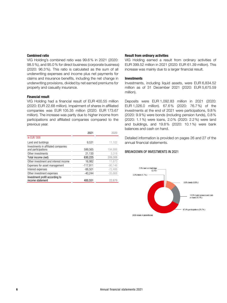#### Combined ratio

VIG Holding's combined ratio was 99.6% in 2021 (2020: 98.5%), and 95.0% for direct business (corporate business) (2020: 96.3%). This ratio is calculated as the sum of all underwriting expenses and income plus net payments for claims and insurance benefits, including the net change in underwriting provisions, divided by net earned premiums for property and casualty insurance.

#### Financial result

VIG Holding had a financial result of EUR 400.55 million (2020: EUR 22.68 million). Impairment of shares in affiliated companies was EUR 105.35 million (2020: EUR 173.67 million). The increase was partly due to higher income from participations and affiliated companies compared to the previous year.

|                                                           | 2021       | 2020      |
|-----------------------------------------------------------|------------|-----------|
| in EUR '000                                               |            |           |
| Land and buildings                                        | 9.531      | 11,102    |
| Investments in affiliated companies<br>and participations | 599,565    | 194,888   |
| Other investments                                         | 21,130     | 3.318     |
| Total income (net)                                        | 630,225    | 209.308   |
| Other investment and interest income                      | 16.982     | 11,673    |
| Expenses for asset management                             | $-117,911$ | $-90.146$ |
| Interest expenses                                         | $-88.501$  | $-72,488$ |
| Other investment expenses                                 | $-40.244$  | $-35.668$ |
| Investment profit according to<br>income statement        | 400.551    | 22.679    |

#### Result from ordinary activities

VIG Holding earned a result from ordinary activities of EUR 399.52 million in 2021 (2020: EUR 61.39 million). This increase was mainly due to a larger financial result.

#### Investments

Investments, including liquid assets, were EUR 6,834.52 million as of 31 December 2021 (2020: EUR 5,675.59 million).

Deposits were EUR 1,092.83 million in 2021 (2020: EUR 1,026.0 million). 67.6% (2020: 76.7%) of the investments at the end of 2021 were participations, 9.8% (2020: 9.9%) were bonds (including pension funds), 0.8% (2020: 1.1%) were loans, 2.0% (2020: 2.2%) were land and buildings, and 19.8% (2020: 10.1%) were bank balances and cash on hand.

Detailed information is provided on pages 26 and 27 of the annual financial statements.

#### BREAKDOWN OF INVESTMENTS IN 2021

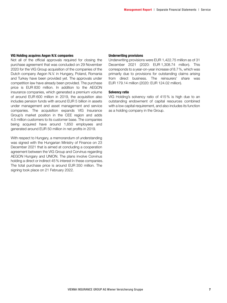#### VIG Holding acquires Aegon N.V. companies

Not all of the official approvals required for closing the purchase agreement that was concluded on 29 November 2020 for the VIG Group acquisition of the companies of the Dutch company Aegon N.V. in Hungary, Poland, Romania and Turkey have been provided yet. The approvals under competition law have already been provided. The purchase price is EUR 830 million. In addition to the AEGON insurance companies, which generated a premium volume of around EUR 600 million in 2019, the acquisition also includes pension funds with around EUR 5 billion in assets under management and asset management and service companies. The acquisition expands VIG Insurance Group's market position in the CEE region and adds 4.5 million customers to its customer base. The companies being acquired have around 1,650 employees and generated around EUR 50 million in net profits in 2019.

With respect to Hungary, a memorandum of understanding was signed with the Hungarian Ministry of Finance on 23 December 2021 that is aimed at concluding a cooperation agreement between the VIG Group and Corvinus regarding AEGON Hungary and UNION. The plans involve Corvinus holding a direct or indirect 45% interest in these companies. The total purchase price is around EUR 350 million. The signing took place on 21 February 2022.

#### Underwriting provisions

Underwriting provisions were EUR 1,422.75 million as of 31 December 2021 (2020: EUR 1,308.74 million). This corresponds to a year-on-year increase of 8.7%, which was primarily due to provisions for outstanding claims arising from direct business. The reinsurers' share was EUR 179.14 million (2020: EUR 124.02 million).

#### Solvency ratio

VIG Holding's solvency ratio of 415% is high due to an outstanding endowment of capital resources combined with a low capital requirement, and also includes its function as a holding company in the Group.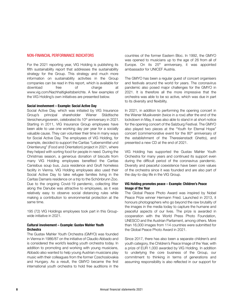#### NON-FINANCIAL PERFORMANCE INDICATORS

For the 2021 reporting year, VIG Holding is publishing its fifth sustainability report that addresses the sustainability strategy for the Group. This strategy and much more information on sustainability activities in the Group companies can be read in this report, which is available for download free of charge at www.vig.com/Nachhaltigkeitsberichte. A few examples of the VIG Holding's own initiatives are presented below.

#### Social involvement – Example: Social Active Day

Social Active Day, which was initiated by VIG Insurance Group's principal shareholder Wiener Städtische Versicherungsverein, celebrated its 10<sup>th</sup> anniversary in 2021. Starting in 2011, VIG Insurance Group employees have been able to use one working day per year for a socially valuable cause. They can volunteer their time in many ways for Social Active Day. The employees of VIG Holding, for example, decided to support the Caritas "Lebensmittel und Orientierung" (Food and Orientation) project in 2021, where they helped with sorting food for people in need. During the Christmas season, a generous donation of biscuits from many VIG Holding employees benefited the Caritas Canisibus soup bus, Juca residence and Gruft homeless facility in Vienna. VIG Holding employees also used their Social Active Day to take refugee families living in the Caritas Damaris residence on a trip to the Schönbrunn Zoo. Due to the ongoing Covid-19 pandemic, collecting litter along the Danube was attractive to employees, as it was relatively easy to observe social distancing rules while making a contribution to environmental protection at the same time.

195 (72) VIG Holdings employees took part in this Groupwide initiative in 2021.

#### Cultural involvement – Example: Gustav Mahler Youth Orchestra

The Gustav Mahler Youth Orchestra (GMYO) was founded in Vienna in 1986/87 on the initiative of Claudio Abbado and is considered the world's leading youth orchestra today. In addition to promoting and working with young musicians, Abbado also wanted to help young Austrian musicians play music with their colleagues from the former Czechoslovakia and Hungary. As a result, the GMYO became the first international youth orchestra to hold free auditions in the countries of the former Eastern Bloc. In 1992, the GMYO was opened to musicians up to the age of 26 from all of Europe. On its  $25<sup>th</sup>$  anniversary, it was appointed ambassador for UNICEF Austria.

The GMYO has been a regular guest of concert organisers and festivals around the world for years. The coronavirus pandemic also posed major challenges for the GMYO in 2021. It is therefore all the more impressive that the orchestra was able to be so active, which was due in part to its diversity and flexibility.

In 2021, in addition to performing the opening concert in the Wiener Musikverein (twice in a row) after the end of the lockdown in May, it was also able to stand in at short notice for the opening concert of the Salzburg Festival. The GMYO also played two pieces at the "Youth for Eternal Hope" concert (commemorative event for the 80<sup>th</sup> anniversary of the establishment of the Theresienstadt Ghetto), and presented a new CD at the end of 2021.

VIG Holding has supported the Gustav Mahler Youth Orchestra for many years and continued its support even during the difficult period of the coronavirus pandemic. Diversity and peaceful coexistence have been core values of the orchestra since it was founded and are also part of the day-to-day life in the VIG Group.

#### VIG Holding promotes peace – Example: Children's Peace Image of the Year

The Global Peace Photo Award was inspired by Nobel Peace Prize winner Hermann Fried. Launched in 2013, it honours photographers who go beyond the raw brutality of the images in the media today to capture the humane and peaceful aspects of our lives. The prize is awarded in cooperation with the World Press Photo Foundation, UNESCO and the Austrian Parliament, among others. More than 16,000 images from 114 countries were submitted for the Global Peace Photo Award in 2021.

Since 2017, there has also been a separate children's and youth category, the Children's Peace Image of the Year, with a prize of EUR 1,000 awarded by VIG Holding. In addition to underlying the core business of the Group, our commitment to thinking in terms of generations and assuming responsibility is also reflected in our support for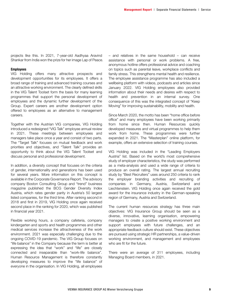projects like this. In 2021, 7-year-old Aadhyaa Aravind Shankar from India won the prize for her image Lap of Peace.

#### Employees

VIG Holding offers many attractive prospects and development opportunities for its employees. It offers a broad range of training and advanced training courses and an attractive working environment. The clearly defined skills in the VIG Talent Toolset form the basis for many learning programmes that support the personal development of employees and the dynamic further development of the Group. Expert careers are another development option offered to employees as an alternative to management careers.

Together with the Austrian VIG companies, VIG Holding introduced a redesigned "VIG Talk" employee annual review in 2021. These meetings between employees and managers take place once a year and consist of two parts. The "Target Talk" focuses on mutual feedback and work priorities and objectives, and "Talent Talk" provides an opportunity to think about the VIG Talent Toolset and discuss personal and professional development.

In addition, a diversity concept that focuses on the criteria of gender, internationality and generations has been used for several years. More information on this concept is available in the Corporate Governance Report. The advisory company Boston Consulting Group and "trend" business magazine published the BCG Gender Diversity Index Austria, which rates gender parity in Austria's 50 largest listed companies, for the third time. After ranking second in 2018 and first in 2019, VIG Holding once again received second place in the ranking for 2020, which was published in financial year 2021.

Flexible working hours, a company cafeteria, company kindergarten and sports and health programmes and other medical services increase the attractiveness of the work environment. 2021 was especially challenging due to the ongoing COVID-19 pandemic. The VIG Group focuses on "life balance" in the Company because the term is better at expressing the idea that "work" and "life" are closely connected and inseparable than "work-life balance". Human Resource Management is therefore constantly developing measures to improve the "life balance" of everyone in the organisation. In VIG Holding, all employees

– and relatives in the same household – can receive assistance with personal or work problems. A free, anonymous hotline offers professional advice and coaching on topics such as parental leave, workplace conflicts and family stress. This strengthens mental health and resilience. The employee assistance programme has also included a wellbeing platform with videos, podcasts and articles since January 2022. VIG Holding employees also provided information about their needs and desires with respect to health and prevention in an internal survey. One consequence of this was the integrated concept of "Keep Moving" for improving sustainability, mobility and health.

Since March 2020, the motto has been "home office before office" and many employees have been working primarily from home since then. Human Resources quickly developed measures and virtual programmes to help them work from home. These programmes were further expanded in 2021. The "Masterplan" online platform, for example, offers an extensive selection of training courses.

VIG Holding was included in the "Leading Employers Austria" list. Based on the world's most comprehensive study of employer characteristics, the study was performed as a meta-analysis and used a wide range of criteria to produce an overall rating. The largest annual recruiting study by "Best Recruiters" uses around 250 criteria to rank the employer branding activities and recruiting of companies in Germany, Austria, Switzerland and Liechtenstein. VIG Holding once again received the gold award for the insurance industry in the German-speaking region of Germany, Austria and Switzerland.

The current human resources strategy has three main objectives: VIG Insurance Group should be seen as a diverse, innovative, learning organisation, empowering managers to create a positive working environment and support employees with future challenges, and an appropriate feedback culture should exist. These objectives are pursued using strategic HR partnerships, a value-driven working environment, and management and employees who are fit for the future.

There were an average of 311 employees, including Managing Board members, in 2021.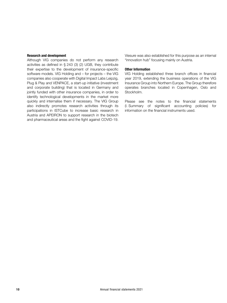#### Research and development

Although VIG companies do not perform any research activities as defined in § 243 (3) (2) UGB, they contribute their expertise to the development of insurance-specific software models. VIG Holding and – for projects – the VIG companies also cooperate with Digital Impact Labs Leipzig, Plug & Play and VENPACE, a start-up initiative (investment and corporate building) that is located in Germany and jointly funded with other insurance companies, in order to identify technological developments in the market more quickly and internalise them if necessary. The VIG Group also indirectly promotes research activities through its participations in ISTCube to increase basic research in Austria and APEIRON to support research in the biotech and pharmaceutical areas and the fight against COVID-19.

Viesure was also established for this purpose as an internal "innovation hub" focusing mainly on Austria.

#### Other Information

VIG Holding established three branch offices in financial year 2019, extending the business operations of the VIG Insurance Group into Northern Europe. The Group therefore operates branches located in Copenhagen, Oslo and Stockholm.

Please see the notes to the financial statements (I. Summary of significant accounting policies) for information on the financial instruments used.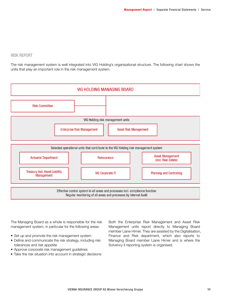# RISK REPORT

The risk management system is well integrated into VIG Holding's organisational structure. The following chart shows the units that play an important role in the risk management system.



The Managing Board as a whole is responsible for the risk management system, in particular for the following areas:

- Set up and promote the risk management system
- Define and communicate the risk strategy, including risk tolerances and risk appetite
- Approve corporate risk management guidelines
- Take the risk situation into account in strategic decisions

Both the Enterprise Risk Management and Asset Risk Management units report directly to Managing Board member Liane Hirner. They are assisted by the Digitalisation, Finance and Risk department, which also reports to Managing Board member Liane Hirner and is where the Solvency II reporting system is organised.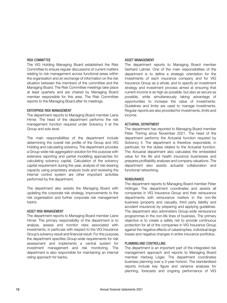#### RISK COMMITTEE

The VIG Holding Managing Board established the Risk Committee to ensure regular discussions of current matters relating to risk management across functional areas within the organisation and an exchange of information on the risk situation between the members of the committee and the Managing Board. The Risk Committee meetings take place at least quarterly and are chaired by Managing Board member responsible for this area. The Risk Committee reports to the Managing Board after its meetings.

#### ENTERPRISE RISK MANAGEMENT

The department reports to Managing Board member Liane Hirner. The head of the department performs the risk management function required under Solvency II at the Group and solo level.

The main responsibilities of the department include determining the overall risk profile of the Group and VIG Holding and calculating solvency. The department provides a Group-wide risk aggregation solution for this purpose with extensive reporting and partial modelling approaches for calculating solvency capital. Calculation of the solvency capital requirement during the year, analysis of risk-bearing capacity using proprietary analysis tools and reviewing the internal control system are other important activities performed by the department.

The department also assists the Managing Board with updating the corporate risk strategy, improvements to the risk organisation and further corporate risk management topics.

#### ASSET RISK MANAGEMENT

The department reports to Managing Board member Liane Hirner. The primary responsibility of the department is to analyse, assess and monitor risks associated with investments, in particular with respect to the VIG Insurance Group's solvency result and financial result. For this purpose, the department specifies Group-wide requirements for risk assessment and implements a central system for investment management and risk monitoring. The department is also responsible for maintaining an internal rating approach for banks.

#### ASSET MANAGEMENT

The department reports to Managing Board member Gerhard Lahner. One of the main responsibilities of the department is to define a strategic orientation for the investments of each insurance company and for VIG Insurance Group as a whole, and to specify an investment strategy and investment process aimed at ensuring that current income is as high as possible, but also as secure as possible, while simultaneously taking advantage of opportunities to increase the value of investments. Guidelines and limits are used to manage investments. Regular reports are also provided for investments, limits and income.

#### ACTUARIAL DEPARTMENT

The department has reported to Managing Board member Peter Thirring since November 2021. The head of the department performs the Actuarial function required by Solvency II. The department is therefore responsible, in particular, for the duties related to the Actuarial function. The Actuarial department also calculates the embedded value for the life and health insurance businesses and prepares profitability analyses and company valuations. The department also assists actuarial collaboration and functional networking.

#### **REINSURANCE**

The department reports to Managing Board member Peter Höfinger. The department coordinates and assists all companies in VIG Insurance Group and their reinsurance departments with reinsurance matters in the non-life business (property and casualty, third party liability and accident insurance) by preparing and applying guidelines. The department also administers Group-wide reinsurance programmes in the non-life lines of business. The primary objective is to create a safety net to provide continuous protection for all of the companies in VIG Insurance Group against the negative effects of catastrophes, individual large losses and negative changes in entire insurance portfolios.

#### PLANNING AND CONTROLLING

The department is an important part of the integrated risk management approach and reports to Managing Board member Hartwig Löger. The department coordinates business planning over a 3-year horizon. The standardised reports include key figure and variance analyses for planning, forecasts and ongoing performance of VIG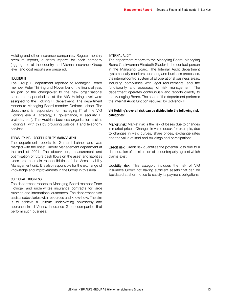Holding and other insurance companies. Regular monthly premium reports, quarterly reports for each company (aggregated at the country and Vienna Insurance Group level) and cost reports are prepared.

#### HOLDING IT

The Group IT department reported to Managing Board member Peter Thirring until November of the financial year. As part of the changeover to the new organisational structure, responsibilities at the VIG Holding level were assigned to the Holding IT department. The department reports to Managing Board member Gerhard Lahner. The department is responsible for managing IT at the VIG Holding level (IT strategy, IT governance, IT security, IT projects, etc.). The Austrian business organisation assists Holding IT with this by providing outside IT and telephony services.

#### TREASURY INCL. ASSET LIABILITY MANAGEMENT

The department reports to Gerhard Lahner and was merged with the Asset Liability Management department at the end of 2021. The observation, measurement and optimisation of future cash flows on the asset and liabilities sides are the main responsibilities of the Asset Liability Management unit. It is also responsible for the exchange of knowledge and improvements in the Group in this area.

#### CORPORATE BUSINESS

The department reports to Managing Board member Peter Höfinger and underwrites insurance contracts for large Austrian and international customers. The department also assists subsidiaries with resources and know-how. The aim is to achieve a uniform underwriting philosophy and approach in all Vienna Insurance Group companies that perform such business.

#### INTERNAL AUDIT

The department reports to the Managing Board. Managing Board Chairwoman Elisabeth Stadler is the contact person in the Managing Board. The Internal Audit department systematically monitors operating and business processes, the internal control system of all operational business areas, including compliance with legal requirements, and the functionality and adequacy of risk management. The department operates continuously and reports directly to the Managing Board. The head of the department performs the Internal Audit function required by Solvency II.

#### VIG Holding's overall risk can be divided into the following risk categories:

Market risk: Market risk is the risk of losses due to changes in market prices. Changes in value occur, for example, due to changes in yield curves, share prices, exchange rates and the value of land and buildings and participations.

Credit risk: Credit risk quantifies the potential loss due to a deterioration of the situation of a counterparty against which claims exist.

Liquidity risk: This category includes the risk of VIG Insurance Group not having sufficient assets that can be liquidated at short notice to satisfy its payment obligations.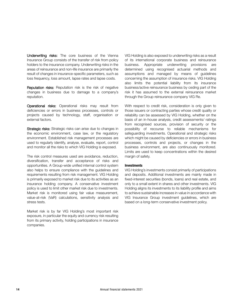Underwriting risks: The core business of the Vienna Insurance Group consists of the transfer of risk from policy holders to the insurance company. Underwriting risks in the areas of reinsurance and non-life insurance are primarily the result of changes in insurance-specific parameters, such as loss frequency, loss amount, lapse rates and lapse costs.

Reputation risks: Reputation risk is the risk of negative changes in business due to damage to a company's reputation.

Operational risks: Operational risks may result from deficiencies or errors in business processes, controls or projects caused by technology, staff, organisation or external factors.

Strategic risks: Strategic risks can arise due to changes in the economic environment, case law, or the regulatory environment. Established risk management processes are used to regularly identify, analyse, evaluate, report, control and monitor all the risks to which VIG Holding is exposed.

The risk control measures used are avoidance, reduction, diversification, transfer and acceptance of risks and opportunities. A Group-wide unified internal control system also helps to ensure compliance with the guidelines and requirements resulting from risk management. VIG Holding is primarily exposed to market risk due to its activities as an insurance holding company. A conservative investment policy is used to limit other market risk due to investments. Market risk is monitored using fair value measurement, value-at-risk (VaR) calculations, sensitivity analysis and stress tests.

Market risk is by far VIG Holding's most important risk exposure, in particular the equity and currency risk resulting from its primary activity, holding participations in insurance companies.

VIG Holding is also exposed to underwriting risks as a result of its international corporate business and reinsurance business. Appropriate underwriting provisions are determined using recognised actuarial methods and assumptions and managed by means of guidelines concerning the assumption of insurance risks. VIG Holding also limits the potential liability from its insurance business/active reinsurance business by ceding part of the risk it has assumed to the external reinsurance market through the Group reinsurance company VIG Re.

With respect to credit risk, consideration is only given to those issuers or contracting parties whose credit quality or reliability can be assessed by VIG Holding, whether on the basis of an in-house analysis, credit assessments/ ratings from recognised sources, provision of security or the possibility of recourse to reliable mechanisms for safeguarding investments. Operational and strategic risks which might be caused by deficiencies or errors in business processes, controls and projects, or changes in the business environment, are also continuously monitored. Limits are used to keep concentrations within the desired margin of safety.

#### **Investments**

VIG Holding's investments consist primarily of participations and deposits. Additional investments are mainly made in fixed-interest securities (bonds, loans) and real estate, and only to a small extent in shares and other investments. VIG Holding aligns its investments to its liability profile and aims to achieve sustainable increases in value in accordance with VIG Insurance Group investment guidelines, which are based on a long-term conservative investment policy.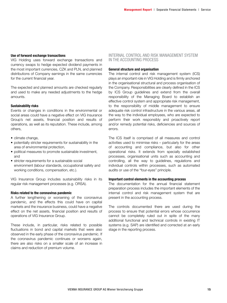# Use of forward exchange transactions

VIG Holding uses forward exchange transactions and currency swaps to hedge expected dividend payments in the most important currencies, CZK and PLN, and planned distributions of Company earnings in the same currencies for the current financial year.

The expected and planned amounts are checked regularly and used to make any needed adjustments to the hedge amounts.

# Sustainability risks

Events or changes in conditions in the environmental or social areas could have a negative effect on VIG Insurance Group's net assets, financial position and results of operations, as well as its reputation. These include, among others,

- climate change,
- potentially stricter requirements for sustainability in the area of environmental protection,
- political measures to promote sustainable investment, and
- stricter requirements for a sustainable social environment (labour standards, occupational safety and working conditions, compensation, etc.).

VIG Insurance Group includes sustainability risks in its regular risk management processes (e.g. ORSA).

### Risks related to the coronavirus pandemic

A further lengthening or worsening of the coronavirus pandemic, and the effects this could have on capital markets and the insurance business, could have a negative effect on the net assets, financial position and results of operations of VIG Insurance Group.

These include, in particular, risks related to possible fluctuations in bond and capital markets that were also observed in the early phase of the coronavirus pandemic. If the coronavirus pandemic continues or worsens again, there are also risks on a smaller scale of an increase in claims and reduction of premium volume.

# INTERNAL CONTROL AND RISK MANAGEMENT SYSTEM IN THE ACCOUNTING PROCESS

#### General structure and organisation

The internal control and risk management system (ICS) plays an important role in VIG Holding and is firmly anchored in the organisational structural and process organisation of the Company. Responsibilities are clearly defined in the ICS by ICS Group guidelines and extend from the overall responsibility of the Managing Board to establish an effective control system and appropriate risk management, to the responsibility of middle management to ensure adequate risk control infrastructure in the various areas, all the way to the individual employees, who are expected to perform their work responsibly and proactively report and/or remedy potential risks, deficiencies and sources of errors.

The ICS itself is comprised of all measures and control activities used to minimise risks – particularly for the areas of accounting and compliance, but also for other operational risks. It extends from specially established processes, organisational units such as accounting and controlling, all the way to guidelines, regulations and individual controls within processes, such as automated audits or use of the "four-eyes" principle.

#### Important control elements in the accounting process

The documentation for the annual financial statement preparation process includes the important elements of the internal control and risk management system that are present in the accounting process.

The controls documented there are used during the process to ensure that potential errors whose occurrence cannot be completely ruled out in spite of the many additional functional and technical controls in existing IT systems (e.g. SAP) are identified and corrected at an early stage in the reporting process.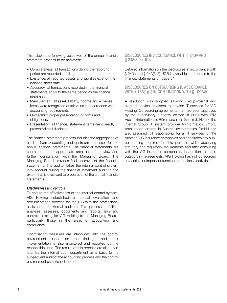This allows the following objectives of the annual financial statement process to be achieved:

- Completeness: all transactions during the reporting period are recorded in full.
- Existence: all reported assets and liabilities exist on the balance sheet date.
- Accuracy: all transactions recorded in the financial statements apply to the same period as the financial statements.
- Measurement: all asset, liability, income and expense items were recognised at fair value in accordance with accounting requirements.
- Ownership: proper presentation of rights and obligations.
- Presentation: all financial statement items are correctly presented and disclosed.

The financial statement process includes the aggregation of all data from accounting and upstream processes for the annual financial statements. The financial statements are submitted to the appropriate area head for review and further consultation with the Managing Board. The Managing Board provides final approval of the financial statements. The auditor takes the internal control system into account during the financial statement audit to the extent that it is relevant to preparation of the annual financial statements.

#### Effectiveness and controls

To ensure the effectiveness of the internal control system, VIG Holding established an annual evaluation and documentation process for the ICS with the professional assistance of external auditors. This process identifies, analyses, assesses, documents and reports risks and controls existing for VIG Holding to the Managing Board, particularly those in the areas of accounting and compliance.

Optimisation measures are introduced into the control environment based on the findings, and their implementation is also monitored and reported by the responsible units. The results of this process are also used later by the internal audit department as a basis for its subsequent audit of the accounting process and the control environment established there.

# DISCLOSURES IN ACCORDANCE WITH § 243A AND § 243(3)(3) UGB

Detailed information on the disclosures in accordance with § 243a and § 243(3)(3) UGB is available in the notes to the financial statements on page 34.

### DISCLOSURES ON OUTSOURCING IN ACCORDANCE WITH § 156(1)(1) IN CONJUNCTION WITH § 109 VAG

A resolution was adopted allowing Group-internal and external service providers to provide IT services for VIG Holding. Outsourcing agreements that had been approved by the supervisory authority existed in 2021 with IBM Austria (Internationale Büromaschinen Ges. m.b.H.) and the internal Group IT system provider twinformatics GmbH, both headquartered in Austria. twinformatics GmbH has also assumed full responsibility for all IT services for the Austrian VIG insurance companies and concludes any suboutsourcing required for this purpose while observing statutory and regulatory requirements and after consulting with the VIG insurance companies. In addition to these outsourcing agreements, VIG Holding has not outsourced any critical or important functions or business activities.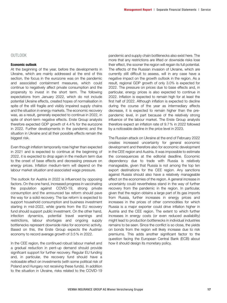#### OUTLOOK

#### Economic outlook

At the beginning of the year, before the developments in Ukraine, which are mainly addressed at the end of this section, the focus in the eurozone was on the pandemic and associated containment measures, which could continue to negatively affect private consumption and the propensity to invest in the short term. The following expectations from January 2022, which do not include potential Ukraine effects, created hopes of normalisation in spite of the still fragile and visibly impaired supply chains and the situation in energy markets. The economic recovery was, as a result, generally expected to continue in 2022, in spite of short-term negative effects. Erste Group analysts therefore expected GDP growth of 4.4% for the eurozone in 2022. Further developments in the pandemic and the situation in Ukraine and all their possible effects remain the biggest risk.

Even though inflation temporarily rose higher than expected in 2021 and is expected to continue at the beginning of 2022, it is expected to drop again in the medium term due to the onset of base effects and decreasing pressure on energy prices. Inflation medium-term will depend on the labour market situation and associated wage pressure.

The outlook for Austria in 2022 is influenced by opposing factors. On the one hand, increased progress in vaccinating the population against COVID-19, strong private consumption and the announced tax reform should pave the way for a solid recovery. The tax reform is expected to support household consumption and business investment starting in mid-2022, while grants from the EU recovery fund should support public investment. On the other hand, infection dynamics, potential travel warnings and restrictions, labour shortages and ongoing supply bottlenecks represent downside risks for economic activity. Based on this, the Erste Group expects the Austrian economy to record average growth of 3.5% in 2022.

In the CEE region, the continued robust labour market and a gradual reduction in pent-up demand should provide significant support for further recovery. Regular EU funding and, in particular, the recovery fund should have a noticeable effect on investments (with some political risk of Poland and Hungary not receiving these funds). In addition to the situation in Ukraine, risks related to the COVID-19

pandemic and supply chain bottlenecks also exist here. The more that any restrictions are lifted or downside risks lose their effect, the sooner the region will regain its full potential. The effects of the Russian invasion of Ukraine, which are currently still difficult to assess, will in any case have a negative impact on the growth outlook in the region. As a result, regional GDP growth of only 3.0% is expected for 2022. The pressure on prices due to base effects and, in particular, energy prices is also expected to continue in 2022. Inflation is expected to remain high for at least the first half of 2022. Although inflation is expected to decline during the course of the year as intermediary effects decrease, it is expected to remain higher than the prepandemic level, in part because of the relatively strong influence of the labour market. The Erste Group analysts therefore expect an inflation rate of 9.7% in 2022 followed by a noticeable decline in the price level in 2023.

The Russian attack on Ukraine at the end of February 2022 creates increased uncertainty for general economic development and therefore also for economic development in the CEE region and Austria. It was impossible to estimate the consequences at the editorial deadline. Economic dependency due to trade with Russia is relatively manageable, given that Russia is not among the top ten export destinations for the CEE region. Any sanctions against Russia should also have a relatively manageable effect on the economies of the region. A general increase in uncertainty could nevertheless stand in the way of further recovery from the pandemic in the region. In particular, given that the region obtains a large part of its gas imports from Russia, further increases in energy prices and increases in the prices of other commodities for which Russia is a major exporter could drive inflation higher in Austria and the CEE region. The extent to which further increases in energy costs (or even reduced availability) might lead to production bottlenecks in individual industries remains to be seen. Since the conflict is so close, the yields on bonds from the region will likely increase due to risk premiums. This adds another significant factor to the question facing the European Central Bank (ECB) about how it should design its monetary policy.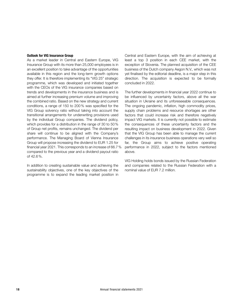#### Outlook for VIG Insurance Group

As a market leader in Central and Eastern Europe, VIG Insurance Group with its more than 25,000 employees is in an excellent position to take advantage of the opportunities available in this region and the long-term growth options they offer. It is therefore implementing its "VIG 25" strategic programme, which was developed and initiated together with the CEOs of the VIG insurance companies based on trends and developments in the insurance business and is aimed at further increasing premium volume and improving the combined ratio. Based on the new strategy and current conditions, a range of 150 to 200% was specified for the VIG Group solvency ratio without taking into account the transitional arrangements for underwriting provisions used by the individual Group companies. The dividend policy, which provides for a distribution in the range of 30 to 50% of Group net profits, remains unchanged. The dividend per share will continue to be aligned with the Company's performance. The Managing Board of Vienna Insurance Group will propose increasing the dividend to EUR 1.25 for financial year 2021. This corresponds to an increase of 66.7% compared to the previous year and a dividend payout ratio of 42.6%.

In addition to creating sustainable value and achieving the sustainability objectives, one of the key objectives of the programme is to expand the leading market position in

Central and Eastern Europe, with the aim of achieving at least a top 3 position in each CEE market, with the exception of Slovenia. The planned acquisition of the CEE business of the Dutch company Aegon N.V., which was not yet finalised by the editorial deadline, is a major step in this direction. The acquisition is expected to be formally concluded in 2022.

The further developments in financial year 2022 continue to be influenced by uncertainty factors, above all the war situation in Ukraine and its unforeseeable consequences. The ongoing pandemic, inflation, high commodity prices, supply chain problems and resource shortages are other factors that could increase risk and therefore negatively impact VIG markets. It is currently not possible to estimate the consequences of these uncertainty factors and the resulting impact on business development in 2022. Given that the VIG Group has been able to manage the current challenges in its insurance business operations very well so far, the Group aims to achieve positive operating performance in 2022, subject to the factors mentioned above.

VIG Holding holds bonds issued by the Russian Federation and companies related to the Russian Federation with a nominal value of EUR 7.2 million.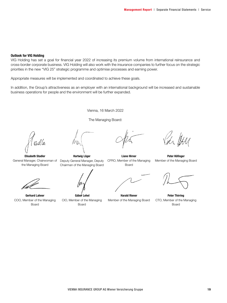#### Outlook for VIG Holding

VIG Holding has set a goal for financial year 2022 of increasing its premium volume from international reinsurance and cross-border corporate business. VIG Holding will also work with the insurance companies to further focus on the strategic priorities in the new "VIG 25" strategic programme and optimise processes and earning power.

Appropriate measures will be implemented and coordinated to achieve these goals.

In addition, the Group's attractiveness as an employer with an international background will be increased and sustainable business operations for people and the environment will be further expanded.

Vienna, 16 March 2022

The Managing Board:

Elisabeth Stadler General Manager, Chairwoman of the Managing Board

Gerhard Lahner COO, Member of the Managing Board



Liane Hirner CFRO, Member of the Managing Board



Peter Höfinger Member of the Managing Board



Peter Thirring CTO, Member of the Managing Board

Gábor Lehel CIO, Member of the Managing Board

Harald Riener

Member of the Managing Board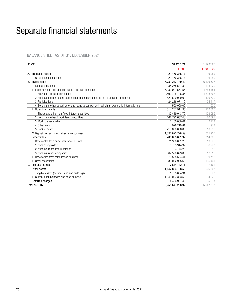# Separate financial statements

# BALANCE SHEET AS OF 31. DECEMBER 2021

| in EUR<br>A. Intangible assets<br>21,456,336.17<br>I. Other intangible assets<br>21,456,336.17<br>Investments<br>6,781,243,739.42<br><b>B.</b><br>I. Land and buildings<br>134,258,531.33<br>II. Investments in affiliated companies and participations<br>5,039,921,567.55<br>1. Shares in affiliated companies<br>4,593,705,496.36<br>2. Bonds and other securities of affiliated companies and loans to affiliated companies<br>421,500,000.00<br>3. Participations<br>24,216,071.19<br>4. Bonds and other securities of and loans to companies in which an ownership interest is held<br>500,000.00<br>III. Other investments<br>514,237,911.95<br>1. Shares and other non-fixed-interest securities<br>132,419,043.70<br>2. Bonds and other fixed-interest securities<br>168,792,657.43<br>80.891<br>3. Mortgage receivables<br>2,100,000.01<br>4. Other loans<br>926,210.81<br>5. Bank deposits<br>210,000,000.00<br>IV. Deposits on assumed reinsurance business<br>1,092,825,728.59<br>C. Receivables<br>283,039,661.32<br>I. Receivables from direct insurance business<br>71,388,081.23<br>1. from policyholders<br>6.733.314.92<br>2. from insurance intermediaries<br>134.143.25<br>3. from insurance companies<br>64,520,623.06<br>II. Receivables from reinsurance business<br>75,568,584.41<br>III. Other receivables<br>136,082,995.68<br>155.441<br>D. Pro rata interest<br>7,644,442.11<br>E. Other assets<br>1,147,833,128.50<br>Tangible assets (not incl. land and buildings)<br>1,735,804.91<br>II. Current bank balances and cash on hand<br>1,146,097,323.59<br>F. Deferred charges<br>14,423,951.45<br><b>Total ASSETS</b><br>8,255,641,258.97 | Assets | 31.12.2021 | 31.12.2020  |
|-------------------------------------------------------------------------------------------------------------------------------------------------------------------------------------------------------------------------------------------------------------------------------------------------------------------------------------------------------------------------------------------------------------------------------------------------------------------------------------------------------------------------------------------------------------------------------------------------------------------------------------------------------------------------------------------------------------------------------------------------------------------------------------------------------------------------------------------------------------------------------------------------------------------------------------------------------------------------------------------------------------------------------------------------------------------------------------------------------------------------------------------------------------------------------------------------------------------------------------------------------------------------------------------------------------------------------------------------------------------------------------------------------------------------------------------------------------------------------------------------------------------------------------------------------------------------------------------------------------------------------------------------------------------------|--------|------------|-------------|
|                                                                                                                                                                                                                                                                                                                                                                                                                                                                                                                                                                                                                                                                                                                                                                                                                                                                                                                                                                                                                                                                                                                                                                                                                                                                                                                                                                                                                                                                                                                                                                                                                                                                         |        |            | in EUR '000 |
|                                                                                                                                                                                                                                                                                                                                                                                                                                                                                                                                                                                                                                                                                                                                                                                                                                                                                                                                                                                                                                                                                                                                                                                                                                                                                                                                                                                                                                                                                                                                                                                                                                                                         |        |            | 16.059      |
|                                                                                                                                                                                                                                                                                                                                                                                                                                                                                                                                                                                                                                                                                                                                                                                                                                                                                                                                                                                                                                                                                                                                                                                                                                                                                                                                                                                                                                                                                                                                                                                                                                                                         |        |            | 16.059      |
|                                                                                                                                                                                                                                                                                                                                                                                                                                                                                                                                                                                                                                                                                                                                                                                                                                                                                                                                                                                                                                                                                                                                                                                                                                                                                                                                                                                                                                                                                                                                                                                                                                                                         |        |            | 6,136,577   |
|                                                                                                                                                                                                                                                                                                                                                                                                                                                                                                                                                                                                                                                                                                                                                                                                                                                                                                                                                                                                                                                                                                                                                                                                                                                                                                                                                                                                                                                                                                                                                                                                                                                                         |        |            | 125.070     |
|                                                                                                                                                                                                                                                                                                                                                                                                                                                                                                                                                                                                                                                                                                                                                                                                                                                                                                                                                                                                                                                                                                                                                                                                                                                                                                                                                                                                                                                                                                                                                                                                                                                                         |        |            | 4,763,484   |
|                                                                                                                                                                                                                                                                                                                                                                                                                                                                                                                                                                                                                                                                                                                                                                                                                                                                                                                                                                                                                                                                                                                                                                                                                                                                                                                                                                                                                                                                                                                                                                                                                                                                         |        |            | 4.328.867   |
|                                                                                                                                                                                                                                                                                                                                                                                                                                                                                                                                                                                                                                                                                                                                                                                                                                                                                                                                                                                                                                                                                                                                                                                                                                                                                                                                                                                                                                                                                                                                                                                                                                                                         |        |            | 409.700     |
|                                                                                                                                                                                                                                                                                                                                                                                                                                                                                                                                                                                                                                                                                                                                                                                                                                                                                                                                                                                                                                                                                                                                                                                                                                                                                                                                                                                                                                                                                                                                                                                                                                                                         |        |            | 24,417      |
|                                                                                                                                                                                                                                                                                                                                                                                                                                                                                                                                                                                                                                                                                                                                                                                                                                                                                                                                                                                                                                                                                                                                                                                                                                                                                                                                                                                                                                                                                                                                                                                                                                                                         |        |            | 500         |
|                                                                                                                                                                                                                                                                                                                                                                                                                                                                                                                                                                                                                                                                                                                                                                                                                                                                                                                                                                                                                                                                                                                                                                                                                                                                                                                                                                                                                                                                                                                                                                                                                                                                         |        |            | 222.066     |
|                                                                                                                                                                                                                                                                                                                                                                                                                                                                                                                                                                                                                                                                                                                                                                                                                                                                                                                                                                                                                                                                                                                                                                                                                                                                                                                                                                                                                                                                                                                                                                                                                                                                         |        |            | 128.085     |
|                                                                                                                                                                                                                                                                                                                                                                                                                                                                                                                                                                                                                                                                                                                                                                                                                                                                                                                                                                                                                                                                                                                                                                                                                                                                                                                                                                                                                                                                                                                                                                                                                                                                         |        |            |             |
|                                                                                                                                                                                                                                                                                                                                                                                                                                                                                                                                                                                                                                                                                                                                                                                                                                                                                                                                                                                                                                                                                                                                                                                                                                                                                                                                                                                                                                                                                                                                                                                                                                                                         |        |            | 2,178       |
|                                                                                                                                                                                                                                                                                                                                                                                                                                                                                                                                                                                                                                                                                                                                                                                                                                                                                                                                                                                                                                                                                                                                                                                                                                                                                                                                                                                                                                                                                                                                                                                                                                                                         |        |            | 912         |
|                                                                                                                                                                                                                                                                                                                                                                                                                                                                                                                                                                                                                                                                                                                                                                                                                                                                                                                                                                                                                                                                                                                                                                                                                                                                                                                                                                                                                                                                                                                                                                                                                                                                         |        |            | 10.000      |
|                                                                                                                                                                                                                                                                                                                                                                                                                                                                                                                                                                                                                                                                                                                                                                                                                                                                                                                                                                                                                                                                                                                                                                                                                                                                                                                                                                                                                                                                                                                                                                                                                                                                         |        |            | 1.025.957   |
|                                                                                                                                                                                                                                                                                                                                                                                                                                                                                                                                                                                                                                                                                                                                                                                                                                                                                                                                                                                                                                                                                                                                                                                                                                                                                                                                                                                                                                                                                                                                                                                                                                                                         |        |            | 214,795     |
|                                                                                                                                                                                                                                                                                                                                                                                                                                                                                                                                                                                                                                                                                                                                                                                                                                                                                                                                                                                                                                                                                                                                                                                                                                                                                                                                                                                                                                                                                                                                                                                                                                                                         |        |            | 19.596      |
|                                                                                                                                                                                                                                                                                                                                                                                                                                                                                                                                                                                                                                                                                                                                                                                                                                                                                                                                                                                                                                                                                                                                                                                                                                                                                                                                                                                                                                                                                                                                                                                                                                                                         |        |            | 6.998       |
|                                                                                                                                                                                                                                                                                                                                                                                                                                                                                                                                                                                                                                                                                                                                                                                                                                                                                                                                                                                                                                                                                                                                                                                                                                                                                                                                                                                                                                                                                                                                                                                                                                                                         |        |            | 82          |
|                                                                                                                                                                                                                                                                                                                                                                                                                                                                                                                                                                                                                                                                                                                                                                                                                                                                                                                                                                                                                                                                                                                                                                                                                                                                                                                                                                                                                                                                                                                                                                                                                                                                         |        |            | 12,516      |
|                                                                                                                                                                                                                                                                                                                                                                                                                                                                                                                                                                                                                                                                                                                                                                                                                                                                                                                                                                                                                                                                                                                                                                                                                                                                                                                                                                                                                                                                                                                                                                                                                                                                         |        |            | 39.758      |
|                                                                                                                                                                                                                                                                                                                                                                                                                                                                                                                                                                                                                                                                                                                                                                                                                                                                                                                                                                                                                                                                                                                                                                                                                                                                                                                                                                                                                                                                                                                                                                                                                                                                         |        |            |             |
|                                                                                                                                                                                                                                                                                                                                                                                                                                                                                                                                                                                                                                                                                                                                                                                                                                                                                                                                                                                                                                                                                                                                                                                                                                                                                                                                                                                                                                                                                                                                                                                                                                                                         |        |            | 7.401       |
|                                                                                                                                                                                                                                                                                                                                                                                                                                                                                                                                                                                                                                                                                                                                                                                                                                                                                                                                                                                                                                                                                                                                                                                                                                                                                                                                                                                                                                                                                                                                                                                                                                                                         |        |            | 566.868     |
|                                                                                                                                                                                                                                                                                                                                                                                                                                                                                                                                                                                                                                                                                                                                                                                                                                                                                                                                                                                                                                                                                                                                                                                                                                                                                                                                                                                                                                                                                                                                                                                                                                                                         |        |            | .898        |
|                                                                                                                                                                                                                                                                                                                                                                                                                                                                                                                                                                                                                                                                                                                                                                                                                                                                                                                                                                                                                                                                                                                                                                                                                                                                                                                                                                                                                                                                                                                                                                                                                                                                         |        |            | 564,970     |
|                                                                                                                                                                                                                                                                                                                                                                                                                                                                                                                                                                                                                                                                                                                                                                                                                                                                                                                                                                                                                                                                                                                                                                                                                                                                                                                                                                                                                                                                                                                                                                                                                                                                         |        |            | 5.618       |
|                                                                                                                                                                                                                                                                                                                                                                                                                                                                                                                                                                                                                                                                                                                                                                                                                                                                                                                                                                                                                                                                                                                                                                                                                                                                                                                                                                                                                                                                                                                                                                                                                                                                         |        |            | 6,947,318   |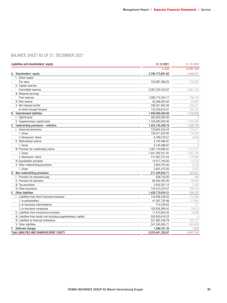# BALANCE SHEET AS OF 31. DECEMBER 2021

| Liabilities and shareholders' equity                              | 31.12.2021       | 31.12.2020  |
|-------------------------------------------------------------------|------------------|-------------|
|                                                                   | in EUR           | in EUR '000 |
| A. Shareholders' equity                                           | 3,790,773,691.82 | 3,440,911   |
| I. Share capital                                                  |                  |             |
| Par value                                                         | 132,887,468.20   | 132.887     |
| II. Capital reserves                                              |                  |             |
| Committed reserves                                                | 2,267,232,422.07 | 2,267,232   |
| III. Retained earnings                                            |                  |             |
| Free reserves                                                     | 1,006,715,354.17 | 756,716     |
| IV. Risk reserve                                                  | 45,586,845.00    | 44.845      |
| V. Net retained profits                                           | 338,351,602.38   | 239,231     |
| of which brought forward                                          | 143.230.814.01   | 153.751     |
| <b>B.</b> Subordinated liabilities                                | 1,400,000,000.00 | 1,100,000   |
| I. Hybrid bond                                                    | 300,000,000.00   | $\bigcap$   |
| II. Supplementary capital bond                                    | 1,100,000,000.00 | 1,100,000   |
| C. Underwriting provisions - retention                            | 1,422,745,506.78 | 1,308,738   |
| I. Unearned premiums                                              | 133,602,554.44   | 114,011     |
| 1. Gross                                                          | 138,371,833.95   | 118,050     |
| 2. Reinsurers' share                                              | $-4,769,279.51$  | $-4,039$    |
| II. Mathmatical reserve                                           | 5,145,486.87     | $\bigcirc$  |
| 1. Gross                                                          | 5,145,486.87     | $\bigcirc$  |
| III. Provision for outstanding claims                             | 1,267,124,806.47 | 1,177,741   |
| 1. Gross                                                          | 1,441,492,021.91 | 1,297,726   |
| 2. Reinsurers' share                                              | -174,367,215.44  | $-119,985$  |
| IV. Equalisation provision                                        | 14,017,184.00    | 14,754      |
| V. Other underwriting provisions                                  | 2,855,475.00     | 2,232       |
| 1. Gross                                                          | 2,855,475.00     | 2,232       |
| D. Non-underwriting provisions                                    | 211,344,644.71   | 167,631     |
| I. Provision for severance pay                                    | 838,750.00       | 846         |
| II. Provision for pensions                                        | 63,592,303.00    | 56.555      |
| III. Tax provisions                                               | 3,500,357.14     | 3,500       |
| IV. Other provisions                                              | 143,413,234.57   | 106,730     |
| E. Other liabilities                                              | 1,429,770,634.31 | 928,233     |
| I. Liabilities from direct insurance business                     | 144,936,428.02   | 112,485     |
| 1. to policyholders                                               | 41,587,730.98    | 31,895      |
| 2, to insurance intermediaries                                    | 710,328.62       | 777         |
| 3. to insurance companies                                         | 102,638,368.42   | 79.813      |
| II. Liabilities from reinsurance business                         | 11,672,654.26    | 18,388      |
| III. Liabilities from bonds (not including supplementary capital) | 503,835,616.53   | $\bigcap$   |
| IV. Liabilities to financial institutions                         | 227,985,349.79   | 192,751     |
| V. Other liabilities                                              | 541,340,585.71   | 604.609     |
| F. Deferred charges                                               | 1,006,781.35     | 1,805       |
| Total LIABILITIES AND SHAREHOLDERS' EQUITY                        | 8,255,641,258.97 | 6,947,318   |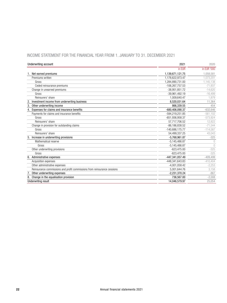# INCOME STATEMENT FOR THE FINANCIAL YEAR FROM 1. JANUARY TO 31. DECEMBER 2021

| Underwriting account                                                     | 2021               | 2020        |
|--------------------------------------------------------------------------|--------------------|-------------|
|                                                                          | in EUR             | in EUR '000 |
| 1. Net earned premiums                                                   | 1,139,671,121.75   | 1.058.581   |
| Premiums written                                                         | 1,178,622,973.47   | 1.073.201   |
| Gross                                                                    | 1,284,890,731.00   | 1,145,138   |
| Ceded reinsurance premiums                                               | -106,267,757.53    | $-71.937$   |
| Change in unearned premiums                                              | -38.951.851.72     | $-14.620$   |
| Gross                                                                    | $-39,961,492.19$   | $-16.499$   |
| Reinsurers' share                                                        | 1,009,640.47       | 1.879       |
| 2. Investment income from underwriting business                          | 8,520,031.64       | 11.364      |
| 3.<br>Other underwriting income                                          | 866.339.55         | 454         |
| 4. Expenses for claims and insurance benefits                            | -680,406,090.37    | $-632,646$  |
| Payments for claims and insurance benefits                               | -594.219.251.85    | $-561.102$  |
| Gross                                                                    | -651,936,958.37    | $-573.924$  |
| Reinsurers' share                                                        | 57,717,706.52      | 12.822      |
| Change in provision for outstanding claims                               | $-86, 186, 838.52$ | $-71,544$   |
| Gross                                                                    | -140,686,175.77    | $-114,587$  |
| Reinsurers' share                                                        | 54.499.337.25      | 43.043      |
| Increase in underwriting provisions                                      | $-5,768,961.87$    | $-325$      |
| Mathematical reserve                                                     | $-5.145.486.87$    | $\bigcap$   |
| Gross                                                                    | $-5,145,486.87$    | $\bigcap$   |
| Other underwriting provisions                                            | $-623.475.00$      | $-325$      |
| Gross                                                                    | $-623.475.00$      | $-325$      |
| 6. Administrative expenses                                               | -447,341,057.49    | $-409,499$  |
| Acquisition expenses                                                     | -448.341.643.83    | $-410.404$  |
| Other administrative expenses                                            | $-4,001,058.42$    | $-2,253$    |
| Reinsurance commissions and profit commissions from reinsurance cessions | 5.001.644.76       | 3.158       |
| Other underwriting expenses                                              | $-2,231,370.24$    | $-867$      |
| Change in the equalisation provision                                     | 736.567.00         | $-2.008$    |
| <b>Underwriting result</b>                                               | 14.046.579.97      | 25,054      |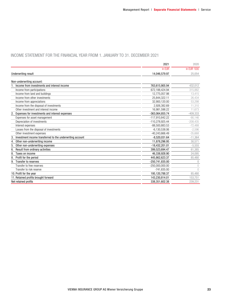# INCOME STATEMENT FOR THE FINANCIAL YEAR FROM 1. JANUARY TO 31. DECEMBER 2021

|                                                           | 2021              | 2020        |
|-----------------------------------------------------------|-------------------|-------------|
|                                                           | in EUR            | in EUR '000 |
| <b>Underwriting result</b>                                | 14,046,579.97     | 25,054      |
| Non-underwriting account:                                 |                   |             |
| 1. Income from investments and interest income            | 763,615,905.94    | 432,012     |
| Income from participations                                | 672,188,424.94    | 315,882     |
| Income from land and buildings                            | 12.775.057.98     | 13.415      |
| Income from other investments                             | 25.844.322.11     | 26.434      |
| Income from appreciations                                 | 32,900,120.00     | 53.298      |
| Income from the disposal of investments                   | 2,926,382.69      | 11,310      |
| Other investment and interest income                      | 16,981,598.22     | 11.673      |
| 2. Expenses for investments and interest expenses         | -363,064,855.74   | $-409,333$  |
| Expenses for asset management                             | -117,910,842.22   | $-90,146$   |
| Depreciation of investments                               | -110.278.925.44   | $-208.435$  |
| Interest expenses                                         | -88,500,883.53    | $-72.488$   |
| Losses from the disposal of investments                   | $-6,130,538.06$   | $-2.596$    |
| Other investment expenses                                 | $-40.243.666.49$  | $-35.668$   |
| Investment income transferred to the underwriting account | $-8.520.031.64$   | $-11,364$   |
| Other non-underwriting income<br>4.                       | 11,878,296.95     | 30,571      |
| Other non-underwriting expenses<br>5.                     | $-18,432,201.01$  | $-5,555$    |
| Result from ordinary activities<br>6                      | 399,523,694.47    | 61,385      |
| 8<br>Taxes on income                                      | 46,338,928.90     | 24.095      |
| 8<br>Profit for the period                                | 445,862,623.37    | 85.480      |
| Transfer to reserves<br>9                                 | -250,741,835.00   | $\Omega$    |
| Transfer to free reserves                                 | $-250,000,000.00$ | $\bigcirc$  |
| Transfer to risk reserve                                  | $-741,835.00$     | $\bigcap$   |
| 10. Profit for the year                                   | 195,120,788.37    | 85,480      |
| 11. Retained profits brought forward                      | 143,230,814.01    | 153.751     |
| Net retained profits                                      | 338,351,602.38    | 239,231     |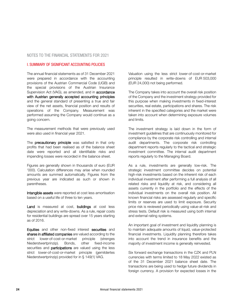# NOTES TO THE FINANCIAL STATEMENTS FOR 2021

#### I. SUMMARY OF SIGNIFICANT ACCOUNTING POLICIES

The annual financial statements as of 31 December 2021 were prepared in accordance with the accounting provisions of the Austrian Commercial Code (UGB) and the special provisions of the Austrian Insurance Supervision Act (VAG), as amended, and in accordance with Austrian generally accepted accounting principles and the general standard of presenting a true and fair view of the net assets, financial position and results of operations of the Company. Measurement was performed assuming the Company would continue as a going concern.

The measurement methods that were previously used were also used in financial year 2021.

The **precautionary principle** was satisfied in that only profits that had been realised as of the balance sheet date were reported and all identifiable risks and impending losses were recorded in the balance sheet.

Figures are generally shown in thousands of euro (EUR '000). Calculation differences may arise when rounded amounts are summed automatically. Figures from the previous year are indicated as such or shown in parentheses.

Intangible assets were reported at cost less amortisation based on a useful life of three to ten years.

Land is measured at cost, buildings at cost less depreciation and any write-downs. As a rule, repair costs for residential buildings are spread over 15 years starting as of 2016.

Equities and other non-fixed interest securities and shares in affiliated companies are valued according to the strict lower-of-cost-or-market principle (strenges Niederstwertprinzip). Bonds, other fixed-income securities and **participations** are valued using the less strict lower-of-cost-or-market principle (gemildertes Niederstwertprinzip) provided for in § 149(1) VAG.

Valuation using the less strict lower-of-cost-or-market principle resulted in write-downs of EUR 503,000 (EUR 24,000) not being performed.

The Company takes into account the overall risk position of the Company and the investment strategy provided for this purpose when making investments in fixed-interest securities, real estate, participations and shares. The risk inherent in the specified categories and the market were taken into account when determining exposure volumes and limits.

The investment strategy is laid down in the form of investment guidelines that are continuously monitored for compliance by the corporate risk controlling and internal audit departments. The corporate risk controlling department reports regularly to the tactical and strategic investment committee. The internal audit department reports regularly to the Managing Board.

As a rule, investments are generally low-risk. The strategic investment committee decides on potential high-risk investments based on the inherent risk of each individual investment after performing a full analysis of all related risks and liquidity at risk, and considering all assets currently in the portfolio and the effects of the individual investments on the overall risk position. All known financial risks are assessed regularly and specific limits or reserves are used to limit exposure. Security price risk is reviewed periodically using value-at-risk and stress tests. Default risk is measured using both internal and external rating systems.

An important goal of investment and liquidity planning is to maintain adequate amounts of liquid, value-protected financial investments. Liquidity planning therefore takes into account the trend in insurance benefits and the majority of investment income is generally reinvested.

Six forward exchange transactions in the CZK and PLN currencies with terms limited to 18 May 2022 existed as of the 31 December 2021 balance sheet date. The transactions are being used to hedge future dividends in foreign currency. A provision for expected losses in the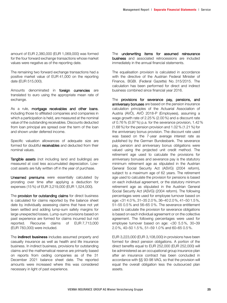amount of EUR 2,380,000 (EUR 1,069,000) was formed for the four forward exchange transactions whose market values were negative as of the reporting date.

The remaining two forward exchange transactions had a positive market value of EUR 41,000 on the reporting date (EUR 515,000).

Amounts denominated in foreign currencies are translated to euro using the appropriate mean rate of exchange.

As a rule, **mortgage receivables and other loans**, including those to affiliated companies and companies in which a participation is held, are measured at the nominal value of the outstanding receivables. Discounts deducted from loan principal are spread over the term of the loan and shown under deferred income.

Specific valuation allowances of adequate size are formed for doubtful receivables and deducted from their nominal values.

Tangible assets (not including land and buildings) are measured at cost less accumulated depreciation. Lowcost assets are fully written off in the year of purchase.

Unearned premiums were essentially calculated by prorating over time after applying a deduction for expenses (15%) of EUR 3,219,000 (EUR 1,524,000).

The provision for outstanding claims for direct business is calculated for claims reported by the balance sheet date by individually assessing claims that have not yet been settled and adding lump-sum safety margins for large unexpected losses. Lump-sum provisions based on past experience are formed for claims incurred but not reported. Recourse claims of EUR 7,713,000 (EUR 783,000) were included.

The **indirect business** includes assumed property and casualty insurance as well as health and life insurance business. In indirect business, provisions for outstanding claims and the mathematical reserve are primarily based on reports from ceding companies as of the 31 December 2021 balance sheet date. The reported amounts were increased where this was considered necessary in light of past experience.

The underwriting items for assumed reinsurance business and associated retrocessions are included immediately in the annual financial statements.

The equalisation provision is calculated in accordance with the directive of the Austrian Federal Minister of Finance, BGBl. (Federal Gazette) No. 315/2015. The calculation has been performed for direct and indirect business combined since financial year 2016.

The provisions for severance pay, pensions, and anniversary bonuses are based on the pension insurance calculation principles of the Actuarial Association of Austria (AVÖ), AVÖ 2018-P (Employees), assuming a wage growth rate of 2.25% (2.00%) and a discount rate of 0.76% (0.97%) p.a. for the severance provision, 1.42% (1.68%) for the pension provision and 1.02% (1.21%) for the anniversary bonus provision. The discount rate used was based on the 7-year average interest rate as published by the German Bundesbank. The severance pay, pension and anniversary bonus obligations were valued using the projected unit credit method. The retirement age used to calculate the provisions for anniversary bonuses and severance pay is the statutory minimum retirement age as stipulated in the Austrian General Social Security Act (ASVG) (2004 reform), subject to a maximum age of 62 years. The retirement age used to calculate the provision for pensions is based on each individual agreement, or the statutory minimum retirement age as stipulated in the Austrian General Social Security Act (ASVG) (2004 reform). The following percentages were used for employee turnover based on age: <31 4.0%, 31–35 2.0%, 36–40 2.0%, 41–50 1.5%, 51–55 0.5% and 56–65 0%. The severance entitlement used to calculate the provision for severance obligations is based on each individual agreement or on the collective agreement. The following percentages were used for employee turnover based on age: <30 5.5%, 30–39 2.0%, 40–50 1.5%, 51–59 1.0% and 60–65 0.5%.

EUR 3,223,000 (EUR 3,108,000) in provisions have been formed for direct pension obligations. A portion of the direct benefits equal to EUR 252,000 (EUR 252,000) will be administered as an occupational group insurance plan after an insurance contract has been concluded in accordance with §§ 93-98 VAG, so that the provision will equal the overall obligation less the outsourced plan assets.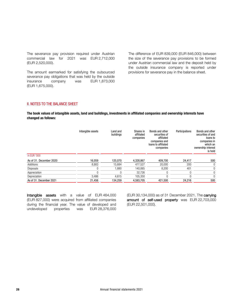The severance pay provision required under Austrian commercial law for 2021 was EUR 2,712,000 (EUR 2,520,000).

The amount earmarked for satisfying the outsourced severance pay obligations that was held by the outside insurance company was EUR 1,873,000 (EUR 1,675,000).

The difference of EUR 839,000 (EUR 846,000) between the size of the severance pay provisions to be formed under Austrian commercial law and the deposit held by the outside insurance company is reported under provisions for severance pay in the balance sheet.

### II. NOTES TO THE BALANCE SHEET

The book values of intangible assets, land and buildings, investments in affiliated companies and ownership interests have changed as follows:

|                         | Intangible assets | Land and<br>buildings | Shares in<br>affiliated<br>companies | Bonds and other<br>securities of<br>affiliated<br>companies and<br>loans to affiliated<br>companies | Participations | Bonds and other<br>securities of and<br>loans to<br>companies in<br>which an<br>ownership interest<br>is held |
|-------------------------|-------------------|-----------------------|--------------------------------------|-----------------------------------------------------------------------------------------------------|----------------|---------------------------------------------------------------------------------------------------------------|
| in EUR '000             |                   |                       |                                      |                                                                                                     |                |                                                                                                               |
| As of 31. December 2020 | 16,059            | 125.070               | 4,328,867                            | 409,700                                                                                             | 24,417         | 500                                                                                                           |
| Additions               | 8,883             | 15.684                | 477.527                              | 20,000                                                                                              | 200            | $\boldsymbol{0}$                                                                                              |
| <b>Disposals</b>        | 0                 | 1.880                 | 140.065                              | 8.200                                                                                               | 401            | $\boldsymbol{0}$                                                                                              |
| Appreciation            | 0                 |                       | 32.726                               |                                                                                                     | $\Omega$       | $\mathbf{0}$                                                                                                  |
| Depreciation            | 3.486             | 4.615                 | 105.350                              |                                                                                                     |                | $\mathbf{0}$                                                                                                  |
| As of 31. December 2021 | 21,456            | 134.259               | 4,593,705                            | 421.500                                                                                             | 24,216         | 500                                                                                                           |

Intangible assets with a value of EUR 464,000 (EUR 827,000) were acquired from affiliated companies during the financial year. The value of developed and undeveloped properties was EUR 28,376,000 (EUR 30,134,000) as of 31 December 2021. The carrying amount of self-used property was EUR 22,703,000 (EUR 22,501,000).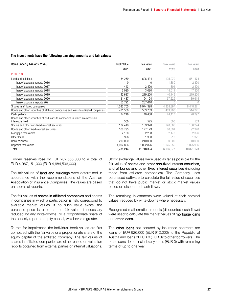#### The investments have the following carrying amounts and fair values:

| Items under § 144 Abs. 2 VAG                                                                   | <b>Book Value</b> | Fair value | <b>Book Value</b> | Fair value |
|------------------------------------------------------------------------------------------------|-------------------|------------|-------------------|------------|
|                                                                                                | 2021              | 2021       | 2020              | 2020       |
| in EUR '000                                                                                    |                   |            |                   |            |
| Land and buildings                                                                             | 134,259           | 606,434    | 125,070           | 561,474    |
| thereof appraisal reports 2016                                                                 | $\Omega$          | $\Omega$   | 1.880             | 2,890      |
| thereof appraisal reports 2017                                                                 | 1,443             | 2,420      | 301               | 2,420      |
| thereof appraisal reports 2018                                                                 | 3,020             | 3,080      | 15,511            | 147,350    |
| thereof appraisal reports 2019                                                                 | 42,637            | 219,200    | 40,149            | 219,200    |
| thereof appraisal reports 2020                                                                 | 31,437            | 94,124     | 67,229            | 189,614    |
| thereof appraisal reports 2021                                                                 | 55,722            | 287,610    |                   |            |
| Shares in affiliated companies                                                                 | 4,593,705         | 8,974,398  | 4,328,867         | 8,448,271  |
| Bonds and other securities of affiliated companies and loans to affiliated companies           | 421,500           | 503,759    | 409,700           | 514,241    |
| Participations                                                                                 | 24,216            | 40,458     | 24,417            | 28,297     |
| Bonds and other securities of and loans to companies in which an ownership<br>interest is held | 500               | 525        | 500               | 553        |
| Shares and other non-fixed-interest securities                                                 | 132,419           | 139,328    | 128,086           | 136,274    |
| Bonds and other fixed-interest securities                                                      | 168,793           | 177,129    | 80,891            | 92,340     |
| Mortgage receivables                                                                           | 2,100             | 2,238      | 2,178             | 2,396      |
| Other loans                                                                                    | 926               | 1,300      | 912               | 1.371      |
| Bank balances                                                                                  | 210,000           | 210,000    | 10,000            | 10,000     |
| Deposits receivables                                                                           | 1,092,826         | 1,092,826  | 1,025,956         | 1,025,956  |
| Total                                                                                          | 6,781,244         | 11,748,394 | 6,136,577         | 10,821,173 |

Hidden reserves rose by EUR 282,555,000 to a total of EUR 4,967,151,000 (EUR 4,684,596,000).

The fair values of **land and buildings** were determined in accordance with the recommendations of the Austrian Association of Insurance Companies. The values are based on appraisal reports.

The fair values of **shares in affiliated companies** and shares in companies in which a participation is held correspond to available market values. If no such value exists, the purchase price is used as the fair value, if necessary reduced by any write-downs, or a proportionate share of the publicly reported equity capital, whichever is greater.

To test for impairment, the individual book values are first compared with the fair value or a proportionate share of the equity capital of the affiliated company. The fair values of shares in affiliated companies are either based on valuation reports obtained from external parties or internal valuations.

Stock exchange values were used as far as possible for the fair value of shares and other non-fixed interest securities, and of bonds and other fixed interest securities (including those from affiliated companies). The Company uses purchased software to calculate the fair value of securities that do not have public market or stock market values based on discounted cash flows.

The remaining investments were valued at their nominal values, reduced by write-downs where necessary.

Recognised mathematical models (discounted cash flows) were used to calculate the market values of **mortgage loans** and other loans.

The other loans not secured by insurance contracts are loans of EUR 926,000 (EUR 912,000) to the Republic of Austria and loans of EUR 0 (EUR 0) to other borrowers. The other loans do not include any loans (EUR 0) with remaining terms of up to one year.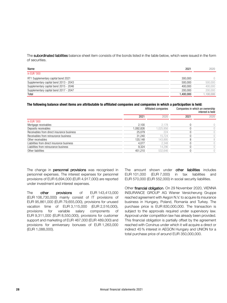The subordinated liabilities balance sheet item consists of the bonds listed in the table below, which were issued in the form of securities.

| Name                                   | 2021      | 2020     |
|----------------------------------------|-----------|----------|
| in EUR '000                            |           |          |
| RT1 Supplementary capital bond 2021    | 300,000   |          |
| Supplementary capital bond 2013 - 2043 | 500.000   | 500,000  |
| Supplementary capital bond 2015 - 2046 | 400.000   | 400,000  |
| Supplementary capital bond 2017 - 2047 | 200.000   | 200,000  |
| Total                                  | 1.400.000 | ,100,000 |

#### The following balance sheet items are attributable to affiliated companies and companies in which a participation is held:

|                                            | Affiliated companies |          | Companies in which an ownership<br>interest is held |            |
|--------------------------------------------|----------------------|----------|-----------------------------------------------------|------------|
|                                            | 2021                 | 2020     | 2021                                                | 2020       |
| in EUR '000                                |                      |          |                                                     |            |
| Mortgage receivables                       | 2.100                | 2.178    |                                                     | $\bigcirc$ |
| Deposits receivables                       | 1.092.826            | .025,956 |                                                     | 0          |
| Receivables from direct insurance business | 25.079               | 224      |                                                     | 0          |
| Receivables from reinsurance business      | 31.240               | 15.724   |                                                     |            |
| Other receivables                          | 120.148              | 143,895  |                                                     | 8          |
| Liabilities from direct insurance business | 4.077                | 2.348    |                                                     | $\bigcirc$ |
| Liabilities from reinsurance business      | 9.324                | 14,296   |                                                     | $\bigcirc$ |
| Other liabilities                          | 451.210              | 532.646  |                                                     | $\bigcirc$ |

The change in personnel provisions was recognised in personnel expenses. The interest expenses for personnel provisions of EUR 6,694,000 (EUR 4,917,000) are reported under investment and interest expenses.

The other provisions of EUR 143,413,000 (EUR 106,730,000) mainly consist of IT provisions of EUR 95,861,000 (EUR 79,655,000), provisions for unused vacation time of EUR 3,115,000 (EUR 2,516,000), provisions for variable salary components of EUR 9,311,000 (EUR 8,550,000), provisions for customer support and marketing of EUR 467,000 (EUR 489,000) and provisions for anniversary bonuses of EUR 1,263,000 (EUR 1,088,000).

The amount shown under other liabilities includes EUR 101,000 (EUR 7,000) in tax liabilities and EUR 570,000 (EUR 552,000) in social security liabilities.

Other financial obligation. On 29 November 2020, VIENNA INSURANCE GROUP AG Wiener Versicherung Gruppe reached agreement with Aegon N.V. to acquire its insurance business in Hungary, Poland, Romania and Turkey. The purchase price is EUR 830,000,000. The transaction is subject to the approvals required under supervisory law. Approval under competition law has already been provided. This financial obligation is partially offset by the agreement reached with Corvinus under which it will acquire a direct or indirect 45% interest in AEGON Hungary and UNION for a total purchase price of around EUR 350,000,000.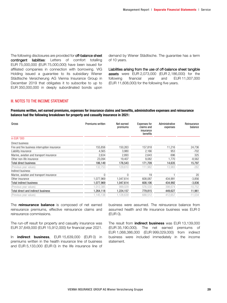The following disclosures are provided for off-balance sheet contingent liabilities: Letters of comfort totalling EUR 75,000,000 (EUR 75,000,000) have been issued for affiliated companies in connection with borrowing. VIG Holding issued a guarantee to its subsidiary Wiener Städtische Versicherung AG Vienna Insurance Group in December 2019 that obligates it to subscribe to up to EUR 350,000,000 in deeply subordinated bonds upon

demand by Wiener Städtische. The guarantee has a term of 10 years.

Liabilities arising from the use of off-balance sheet tangible assets were EUR 2,073,000 (EUR 2,186,000) for the following financial year and EUR 11,007,000 (EUR 11,608,000) for the following five years.

#### III. NOTES TO THE INCOME STATEMENT

#### Premiums written, net earned premiums, expenses for insurance claims and benefits, administrative expenses and reinsurance balance had the following breakdown for property and casualty insurance in 2021:

| Gross                                         | Premiums written | Net earned<br>premiums | <b>Expenses for</b><br>claims and<br>insurance<br>benefits | Administrative<br>expenses | Reinsurance<br>balance |
|-----------------------------------------------|------------------|------------------------|------------------------------------------------------------|----------------------------|------------------------|
| in EUR '000                                   |                  |                        |                                                            |                            |                        |
| Direct business                               |                  |                        |                                                            |                            |                        |
| Fire and fire business interruption insurance | 155,856          | 150,263                | 157,818                                                    | 11,216                     | 24,736                 |
| Liability insurance                           | 4,565            | 3,980                  | 2,166                                                      | 953                        | -702                   |
| Marine, aviation and transport insurance      | 2,634            | 2.893                  | 2.643                                                      | 696                        | 325                    |
| Other non-life insurance                      | 23.094           | 19.407                 | 9.082                                                      | 1.770                      | $-8,562$               |
| Total direct business                         | 186,149          | 176,543                | 171,709                                                    | 14,635                     | 15,797                 |
| (Previous year values)                        | 132.753          | 129,610                | 111,982                                                    | 13,983                     | $-282$                 |
| Indirect business                             |                  |                        |                                                            |                            |                        |
| Marine, aviation and transport insurance      |                  | $\Omega$               | 19                                                         |                            | 20                     |
| Other insurance                               | 1,077,969        | 1.047.614              | 608,087                                                    | 434,991                    | $-3,856$               |
| Total indirect business                       | 1,077,969        | 1,047,614              | 608,106                                                    | 434,992                    | $-3,836$               |
| (Previous year values)                        | 1,012,385        | 999.029                | 576,530                                                    | 398,674                    | $-10,752$              |
| Total direct and indirect business            | 1,264,118        | 1,224,157              | 779,815                                                    | 449,627                    | 11,961                 |
| (Previous year values)                        | 1.145.138        | 1.128.639              | 688.512                                                    | 412.657                    | $-11,034$              |

The **reinsurance balance** is composed of net earned reinsurance premiums, effective reinsurance claims and reinsurance commissions.

The run-off result for property and casualty insurance was EUR 37,649,000 (EUR 15,912,000) for financial year 2021.

In **indirect business**, EUR 15,639,000 (EUR 0) in premiums written in the health insurance line of business and EUR 5,133,000 (EUR 0) in the life insurance line of

business were assumed. The reinsurance balance from assumed health and life insurance business was EUR 0 (EUR 0).

The result from *indirect* business was EUR 13,139,000 (EUR 35,190,000). The net earned premiums of EUR 1,068,386,000 (EUR 999,029,000) from indirect business were included immediately in the income statement.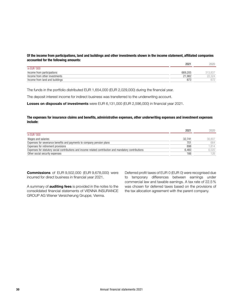#### Of the income from participations, land and buildings and other investments shown in the income statement, affiliated companies accounted for the following amounts:

|                                | 2021    | 2020            |
|--------------------------------|---------|-----------------|
| in EUR '000                    |         |                 |
| Income from participations     | 669.205 | 313.837         |
| Income from other investments  | 21.982  |                 |
| Income from land and buildings | 873     | 67 <sup>r</sup> |

The funds in the portfolio distributed EUR 1,654,000 (EUR 2,029,000) during the financial year.

The deposit interest income for indirect business was transferred to the underwriting account.

Losses on disposals of investments were EUR 6,131,000 (EUR 2,596,000) in financial year 2021.

#### The expenses for insurance claims and benefits, administrative expenses, other underwriting expenses and investment expenses include:

|                                                                                                         | 2021   | 2020   |
|---------------------------------------------------------------------------------------------------------|--------|--------|
| in EUR '000                                                                                             |        |        |
| Wages and salaries                                                                                      | 32.741 | 30.807 |
| Expenses for severance benefits and payments to company pension plans                                   | 701    | 664    |
| Expenses for retirement provisions                                                                      | 898    | 1.814  |
| Expenses for statutory social contributions and income-related contribution and mandatory contributions | 6.460  | 6,020  |
| Other social security expenses                                                                          | 166    | 126    |

**Commissions** of EUR 9,502,000 (EUR 9,678,000) were incurred for direct business in financial year 2021.

A summary of **auditing fees** is provided in the notes to the consolidated financial statements of VIENNA INSURANCE GROUP AG Wiener Versicherung Gruppe, Vienna.

Deferred profit taxes of EUR 0 (EUR 0) were recognised due to temporary differences between earnings under commercial law and taxable earnings. A tax rate of 22.5% was chosen for deferred taxes based on the provisions of the tax allocation agreement with the parent company.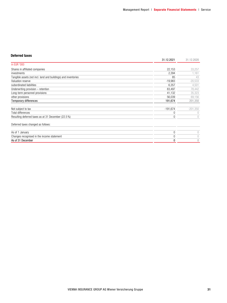#### Deferred taxes

|                                                                | 31.12.2021 | 31.12.2020 |
|----------------------------------------------------------------|------------|------------|
| in EUR '000                                                    |            |            |
| Shares in affiliated companies                                 | 22,153     | 33,257     |
| investments                                                    | 2,394      | 1,161      |
| Tangible assets (not incl. land and buildings) and inventories | 85         | 43         |
| Valuation reserve                                              | $-19,983$  | $-20,533$  |
| subordinated liabilities                                       | 6,357      | 4,501      |
| Underwriting provision - retention                             | 83,497     | 78,442     |
| Long-term personnel provisions                                 | 41,132     | 35,323     |
| other provisions                                               | 56,039     | 69,156     |
| <b>Temporary differences</b>                                   | 191,674    | 201,350    |
|                                                                |            |            |
| Not subject to tax                                             | $-191,674$ | $-201,350$ |
| <b>Total differences</b>                                       | 0          |            |
| Resulting deferred taxes as at 31 December (22.5 %)            | 0          |            |
| Deferred taxes changed as follows:                             |            |            |
| As of 1 January                                                | 0          | 0          |
| Changes recognised in the income statement                     | 0          |            |
| As of 31 December                                              | 0          | $\theta$   |
|                                                                |            |            |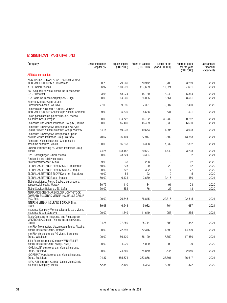# IV. SIGNIFICANT PARTICIPATIONS

| Company                                                                                              | Direct interest in<br>capital (%) | Equity capital<br>(EUR '000) | Share of Capital<br>(EUR '000) | Result of the<br>year (EUR '000) | Share of profit<br>for the year<br>(EUR '000) | Last annual<br>financial<br>statements |
|------------------------------------------------------------------------------------------------------|-----------------------------------|------------------------------|--------------------------------|----------------------------------|-----------------------------------------------|----------------------------------------|
| <b>Affiliated companies</b>                                                                          |                                   |                              |                                |                                  |                                               |                                        |
| ASIGURAREA ROMANEASCA - ASIROM VIENNA<br><b>INSURANCE GROUP S.A., Bucharest</b>                      | 88.76                             | 79,960                       | 70,972                         | $-3,705$                         | $-3,289$                                      | 2021                                   |
| ATBIH GmbH, Vienna                                                                                   | 68.97                             | 173,509                      | 119,669                        | 11,021                           | 7,601                                         | 2021                                   |
| BCR Asigurari de Viata Vienna Insurance Group<br>S.A., Bucharest                                     | 93.98                             | 48,074                       | 45,180                         | 6,240                            | 5,864                                         | 2021                                   |
| BTA Baltic Insurance Company AAS, Riga                                                               | 100.00                            | 64,005                       | 64,005                         | 8,561                            | 8,561                                         | 2021                                   |
| Beesafe Spolka z Ogranziczona<br>Odpowiedzialnoscia, Warsaw                                          | 77.03                             | 9,596                        | 7,391                          | $-9.607$                         | -7,400                                        | 2020                                   |
| Compania de Asigurari "DONARIS VIENNA<br>INSURANCE GROUP" Societate pe Actiuni, Chisinau             | 99.99                             | 5,639                        | 5,638                          | 531                              | 531                                           | 2021                                   |
| Ceská podnikatelská pojisťovna, a.s., Vienna<br>Insurance Group, Prague                              | 100.00                            | 114,722                      | 114,722                        | 30,282                           | 30,282                                        | 2021                                   |
| Compensa Life Vienna Insurance Group SE, Tallinn                                                     | 100.00                            | 45,469                       | 45,469                         | 6,630                            | 6,630                                         | 2021                                   |
| Compensa Towarzystwo Ubezpieczen Na Zycie<br>Spolka Akcyjna Vienna Insurance Group, Warsaw           | 84.14                             | 59,036                       | 49,673                         | 4,395                            | 3,698                                         | 2021                                   |
| Compensa Towarzystwo Ubezpieczen Spolka<br>Akcyjna Vienna Insurance Group, Warsaw                    | 70.67                             | 96,104                       | 67,917                         | 19,602                           | 13,853                                        | 2021                                   |
| Compensa Vienna Insurance Group, akcine<br>draudimo bendrove, Vilnius                                | 100.00                            | 86,338                       | 86,338                         | 7,832                            | 7,832                                         | 2021                                   |
| DONAU Versicherung AG Vienna Insurance Group.<br>Vienna                                              | 74.24                             | 108,482                      | 80,537                         | 4,442                            | 3,298                                         | 2021                                   |
| ELVP Beteiligungen GmbH, Vienna                                                                      | 100.00                            | 23,324                       | 23,324                         | $\overline{c}$                   | $\overline{2}$                                | 2021                                   |
| Foreign limited liability company                                                                    |                                   |                              |                                |                                  |                                               |                                        |
| "InterInvestUchastie", Minsk                                                                         | 99.95                             | 238                          | 238                            | 12                               | 12                                            | 2020                                   |
| GLOBAL ASSISTANCE SERVICES SRL, Bucharest                                                            | 40.00                             | 225                          | 90                             | 29                               | 12                                            | 2020                                   |
| GLOBAL ASSISTANCE SERVICES s.r.o., Prague                                                            | 100.00                            | 322                          | 322                            | 77                               | 77                                            | 2020                                   |
| GLOBAL ASSISTANCE SLOVAKIA s.r.o., Bratislava                                                        | 40.00                             | 54                           | 22                             | 12                               | 5                                             | 2020                                   |
| GLOBAL ASSISTANCE, a.s., Prague                                                                      | 60.00                             | 6,134                        | 3,680                          | 2,416                            | 1,450                                         | 2021                                   |
| Global Assistance Polska Spolka z ograniczona<br>odpowiedzialnoscia, Warsaw                          | 30.77                             | 110                          | 34                             | -91                              | $-28$                                         | 2020                                   |
| Global Services Bulgaria JSC, Sofia                                                                  | 50.00                             | 352                          | 176                            | 25                               | 13                                            | 2020                                   |
| INSURANCE ONE-SHAREHOLDER JOINT-STOCK<br>COMPANY BULSTRAD VIENNA INSURANCE GROUP<br>EAD, Sofia       | 100.00                            | 76,845                       | 76,845                         | 22,815                           | 22,815                                        | 2021                                   |
| INTERSIG VIENNA INSURANCE GROUP Sh.A.,<br>Tirana                                                     | 89.98                             | 6,648                        | 5,982                          | 764                              | 687                                           | 2021                                   |
| Insurance Company Vienna osiguranje d.d., Vienna<br>Insurance Group, Sarajevo                        | 100.00                            | 11,649                       | 11,649                         | 255                              | 255                                           | 2021                                   |
| Stock Company for Insurance and Reinsurance<br>MAKEDONIJA Škopje - Vienna Insurance Group,<br>Skopje | 94.26                             | 27,280                       | 25,714                         | 893                              | 842                                           | 2021                                   |
| InterRisk Towarzystwo Ubezpieczen Spolka Akcyjna<br>Vienna Insurance Group, Warsaw                   | 100.00                            | 72,346                       | 72,346                         | 14,899                           | 14,899                                        | 2021                                   |
| InterRisk Versicherungs-AG Vienna Insurance<br>Group, Wiesbaden                                      | 100.00                            | 56,120                       | 56,120                         | 17,850                           | 17,850                                        | 2021                                   |
| Joint Stock Insurance Company WINNER LIFE -<br>Vienna Insurance Group Skopje, Skopje                 | 100.00                            | 4,020                        | 4,020                          | 99                               | 99                                            | 2020                                   |
| KOMUNALNA poistovna, a.s. Vienna Insurance<br>Group, Bratislava                                      | 100.00                            | 74,869                       | 74,869                         | 2,646                            | 2,646                                         | 2021                                   |
| KOOPERATIVA poist'ovna, a.s. Vienna Insurance<br>Group, Bratislava                                   | 94.37                             | 385,574                      | 363,866                        | 38,801                           | 36,617                                        | 2021                                   |
| KUPALA Belarusian-Austrian Closed Joint Stock<br>Insurance Company, Minsk                            | 52.34                             | 12,100                       | 6,333                          | 3,003                            | 1,572                                         | 2020                                   |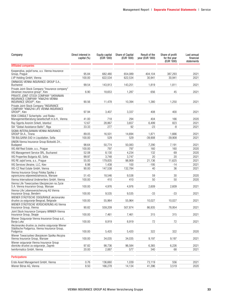| Company                                                                                                        | Direct interest in<br>capital (%) | Equity capital<br>(EUR '000) | Share of Capital<br>(EUR '000) | Result of the<br>year (EUR '000) | Share of profit<br>for the year<br>(EUR '000) | Last annual<br>financial<br>statements |
|----------------------------------------------------------------------------------------------------------------|-----------------------------------|------------------------------|--------------------------------|----------------------------------|-----------------------------------------------|----------------------------------------|
| <b>Affiliated companies</b>                                                                                    |                                   |                              |                                |                                  |                                               |                                        |
| Kooperativa, pojist'ovna, a.s. Vienna Insurance<br>Group, Prague                                               | 95.84                             | 682,480                      | 654,089                        | 404,104                          | 387.293                                       | 2021                                   |
| LVP Holding GmbH, Vienna                                                                                       | 100.00                            | 622,534                      | 622,534                        | 30,941                           | 30,941                                        | 2021                                   |
| OMNIASIG VIENNA INSURANCE GROUP S.A.,<br><b>Bucharest</b>                                                      | 99.54                             | 143,913                      | 143,251                        | 1,819                            | 1,811                                         | 2021                                   |
| Private Joint-Stock Company "Insurance company"<br>Ukrainian insurance group", Kiev                            | 6.90                              | 18,653                       | 1,287                          | 656                              | 45                                            | 2021                                   |
| PRIVATE JOINT-STOCK COMPANY "UKRAINIAN<br>INSURANCE COMPANY "KNIAZHA VIENNA<br>INSURANCE GROUP", Kiev          | 90.56                             | 11,478                       | 10,394                         | 1,380                            | 1,250                                         | 2021                                   |
| Private Joint-Stock Company "INSURANCE<br>COMPANY "KNIAZHA LIFE VIENNA INSURANCE<br>GROUP", Kiev               | 97.94                             | 3,407                        | 3,337                          | 408                              | 400                                           | 2021                                   |
| RISK CONSULT Sicherheits- und Risiko-<br>Managementberatung Gesellschaft m.b.H., Vienna                        | 41.00                             | 718                          | 294                            | 404                              | 166                                           | 2020                                   |
| Ray Sigorta Anonim Sirketi, Istanbul                                                                           | 12.67                             | 28,867                       | 3,657                          | 6,499                            | 823                                           | 2021                                   |
| SIA "Global Assistance Baltic", Riga                                                                           | 33.33                             | 277                          | 92                             | $-23$                            | -8                                            | 2021                                   |
| SIGMA INTERALBANIAN VIENNA INSURANCE<br>GROUP Sh.A., Tirana                                                    | 89.05                             | 16,501                       | 14,694                         | 1,871                            | 1,666                                         | 2021                                   |
| TBI BULGARIA EAD in Liquidation, Sofia                                                                         | 100.00                            | 529                          | 529                            | $-39,908$                        | $-39,908$                                     | 2021                                   |
| UNION Vienna Insurance Group Biztositó Zrt.,<br><b>Budapest</b>                                                | 98.64                             | 50,774                       | 50,083                         | 7,290                            | 7,191                                         | 2021                                   |
| VIG AM Real Estate, a.s., Prague                                                                               | 100.00                            | 797                          | 797                            | 160                              | 160                                           | 2020                                   |
| VIG Management Service SRL, Bucharest                                                                          | 52.08                             | 8,130                        | 4,234                          | 132                              | 69                                            | 2020                                   |
| VIG Properties Bulgaria AD, Sofia                                                                              | 99.97                             | 3,748                        | 3,747                          | 20                               | 20                                            | 2021                                   |
| VIG RE zajist'ovna, a.s., Prague                                                                               | 55.00                             | 179,835                      | 98,909                         | 21.136                           | 11,625                                        | 2021                                   |
| VIG Services Ukraine, LLC, Kiev                                                                                | 6.98                              | 1,438                        | 100                            | $-195$                           | $-14$                                         | 2021                                   |
| VIG-CZ Real Estate GmbH, Vienna                                                                                | 90.00                             | 147,538                      | 132,784                        | 40                               | 36                                            | 2021                                   |
| Vienna Insurance Group Polska Spolka z<br>ograniczona odpowiedzialnoscia, Warsaw                               | 51.43                             | 18,546                       | 9,538                          | 59                               | 30                                            | 2020                                   |
| Vienna International Underwriters GmbH, Vienna                                                                 | 100.00                            | 410                          | 410                            | 50                               | 50                                            | 2020                                   |
| Vienna Life Towarzystwo Ubezpieczen na Zycie<br>S.A. Vienna Insurance Group, Warsaw                            | 100.00                            | 4,976                        | 4,976                          | 2,609                            | 2,609                                         | 2021                                   |
| Vienna-Life Lebensversicherung AG Vienna<br>Insurance Group, Bendern                                           | 100.00                            | 9,535                        | 9,535                          | $-33$                            | $-33$                                         | 2021                                   |
| WIENER STÄDTISCHE OSIGURANJE akcionarsko<br>drustvo za osiguranje Beograd, Belgrade                            | 100.00                            | 55,964                       | 55,964                         | 10,027                           | 10,027                                        | 2021                                   |
| WIENER STÄDTISCHE VERSICHERUNG AG Vienna<br>Insurance Group, Vienna                                            | 90.82                             | 559,209                      | 507.874                        | 86,935                           | 78,954                                        | 2021                                   |
| Joint Stock Insurance Company WINNER-Vienna<br>Insurance Group, Skopje                                         | 100.00                            | 7,461                        | 7,461                          | 315                              | 315                                           | 2021                                   |
| Wiener Osiguranje Vienna Insurance Group a.d.,<br>Banja Luka                                                   | 100.00                            | 8,919                        | 8,919                          | 72                               | 72                                            | 2021                                   |
| Akcionarsko drustvo za zivotno osiguranje Wiener<br>Städtische Podgorica, Vienna Insurance Group,<br>Podgorica | 100.00                            | 5,420                        | 5,420                          | 322                              | 322                                           | 2020                                   |
| Wiener Towarzystwo Ubezpiezen Spolka Akcyjna<br>Vienna Insurance Group, Warsaw                                 | 100.00                            | 34,035                       | 34,035                         | 9,197                            | 9,197                                         | 2021                                   |
| Wiener osiguranje Vienna Insurance Group<br>dionicko drustvo za osiguranje, Zagreb                             | 97.82                             | 98,736                       | 96,584                         | 6,365                            | 6,226                                         | 2021                                   |
| twinformatics GmbH. Vienna                                                                                     | 20.00                             | 2,887                        | 577                            | 340                              | 68                                            | 2021                                   |
| <b>Participations</b>                                                                                          |                                   |                              |                                |                                  |                                               |                                        |
| Erste Asset Management GmbH, Vienna                                                                            | 0.76                              | 136,660                      | 1,039                          | 73,119                           | 556                                           | 2021                                   |
| Wiener Börse AG, Vienna                                                                                        | 8.50                              | 166,278                      | 14,134                         | 41,396                           | 3,519                                         | 2020                                   |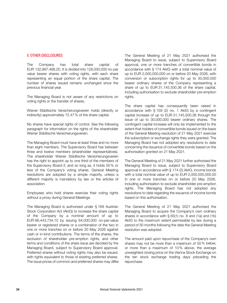#### V. OTHER DISCLOSURES

The Company has total share capital of EUR 132,887,468.20. It is divided into 128,000,000 no-par value bearer shares with voting rights, with each share representing an equal portion of the share capital. The number of shares issued remains unchanged since the previous financial year.

The Managing Board is not aware of any restrictions on voting rights or the transfer of shares.

Wiener Städtische Versicherungsverein holds (directly or indirectly) approximately 72.47% of the share capital.

No shares have special rights of control. See the following paragraph for information on the rights of the shareholder Wiener Städtische Versicherungsverein.

The Managing Board must have at least three and no more than eight members. The Supervisory Board has between three and twelve members (shareholder representatives). The shareholder Wiener Städtische Versicherungsverein has the right to appoint up to one third of the members of the Supervisory Board if, and so long as, it holds 50% or less of the Company's voting shares. General Meeting resolutions are adopted by a simple majority, unless a different majority is mandatory by law or the articles of association.

Employees who hold shares exercise their voting rights without a proxy during General Meetings.

The Managing Board is authorised under § 169 Austrian Stock Corporation Act (AktG) to increase the share capital of the Company by a nominal amount of up to EUR 66,443,734.10 by issuing 64,000,000 no-par-value bearer or registered shares or a combination of the two in one or more tranches on or before 20 May 2026 against cash or in-kind contributions. The terms of the shares, the exclusion of shareholder pre-emption rights, and other terms and conditions of the share issue are decided by the Managing Board, subject to Supervisory Board approval. Preferred shares without voting rights may also be issued, with rights equivalent to those of existing preferred shares. The issue prices of common and preferred shares may differ. The General Meeting of 21 May 2021 authorised the Managing Board to issue, subject to Supervisory Board approval, one or more tranches of convertible bonds in accordance with § 174 AktG with a total nominal value of up to EUR 2,000,000,000 on or before 20 May 2026, with conversion or subscription rights for up to 30,000,000 bearer ordinary shares of the Company representing a share of up to EUR 31,145,500.36 of the share capital, including authorisation to exclude shareholder pre-emption rights.

The share capital has consequently been raised in accordance with § 159 (2) no. 1 AktG by a contingent capital increase of up to EUR 31,145,500.36 through the issue of up to 30,000,000 bearer ordinary shares. The contingent capital increase will only be implemented to the extent that holders of convertible bonds issued on the basis of the General Meeting resolution of 21 May 2021 exercise the subscription or exchange rights they were granted. The Managing Board has not adopted any resolutions to date concerning the issuance of convertible bonds based on the authorisation granted on 21 May 2021.

The General Meeting of 21 May 2021 further authorised the Managing Board to issue, subject to Supervisory Board approval in accordance with § 174 (2) AktG, income bonds with a total nominal value of up to EUR 2,000,000,000.00 in one or more tranches on or before 20 May 2026, including authorisation to exclude shareholder pre-emption rights. The Managing Board has not adopted any resolutions to date regarding the issuance of income bonds based on this authorisation.

The General Meeting of 21 May 2021 authorised the Managing Board to acquire the Company's own ordinary shares in accordance with § 65(1) no. 8 and (1a) and (1b) AktG to the maximum extent permissible by law during a period of 30 months following the date the General Meeting resolution was adopted.

The amount paid upon repurchase of the Company's own shares may not be more than a maximum of 50% below, or more than a maximum of 10% above, the average unweighted closing price on the Vienna Stock Exchange on the ten stock exchange trading days preceding the repurchase.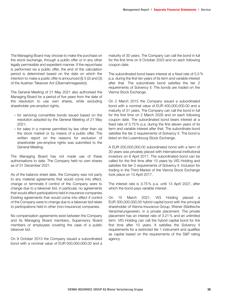The Managing Board may choose to make the purchase on the stock exchange, through a public offer or in any other legally permissible and expedient manner. If the repurchase is performed via a public offer, the end of the calculation period is determined based on the date on which the intention to make a public offer is announced (§ 5 (2) and (3) of the Austrian Takeover Act (Übernahmegesetz)).

The General Meeting of 21 May 2021 also authorised the Managing Board for a period of five years from the date of the resolution to use own shares, while excluding shareholder pre-emption rights,

- for servicing convertible bonds issued based on the resolution adopted by the General Meeting of 21 May 2021;
- for sales in a manner permitted by law other than via the stock market or by means of a public offer. The written report on the reasons for exclusion of shareholder pre-emptive rights was submitted to the General Meeting.

The Managing Board has not made use of these authorisations to date. The Company held no own shares as of 31 December 2021.

As of the balance sheet date, the Company was not party to any material agreements that would come into effect, change or terminate if control of the Company were to change due to a takeover bid, in particular, no agreements that would affect participations held in insurance companies. Existing agreements that would come into effect if control of the Company were to change due to a takeover bid relate to participations held in other (non-insurance) companies.

No compensation agreements exist between the Company and its Managing Board members, Supervisory Board members or employees covering the case of a public takeover bid.

On 9 October 2013 the Company issued a subordinated bond with a nominal value of EUR 500,000,000.00 and a

maturity of 30 years. The Company can call the bond in full for the first time on 9 October 2023 and on each following coupon date.

The subordinated bond bears interest at a fixed rate of 5.5% p.a. during the first ten years of its term and variable interest after that. The subordinate bond satisfies the tier 2 requirements of Solvency II. The bonds are traded on the Vienna Stock Exchange.

On 2 March 2015 the Company issued a subordinated bond with a nominal value of EUR 400,000,000.00 and a maturity of 31 years. The Company can call the bond in full for the first time on 2 March 2026 and on each following coupon date. The subordinated bond bears interest at a fixed rate of 3.75% p.a. during the first eleven years of its term and variable interest after that. The subordinate bond satisfies the tier 2 requirements of Solvency II. The bond is listed on the Luxembourg Stock Exchange.

A EUR 200,000,000.00 subordinated bond with a term of 30 years was privately placed with international institutional investors on 6 April 2017. The subordinated bond can be called for the first time after 10 years by VIG Holding and satisfies the tier 2 requirements of Solvency II. Inclusion for trading in the Third Market of the Vienna Stock Exchange took place on 13 April 2017.

The interest rate is 3.75% p.a. until 13 April 2027, after which the bond pays variable interest.

On 15 March 2021, VIG Holding placed a EUR 300,000,000.00 hybrid capital bond with the principal shareholder of Vienna Insurance Group, Wiener Städtische Versicherungsverein, in a private placement. The private placement has an interest rate of 3.21% and an unlimited term. VIG Holding can call the hybrid capital bond for the first time after 10 years. It satisfies the Solvency II requirements for a restricted tier 1 instrument and qualifies as capital based on the requirements of the S&P rating agency.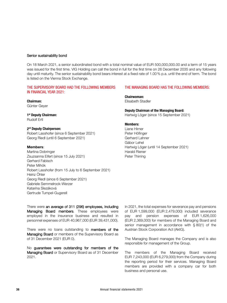#### Senior sustainability bond

On 18 March 2021, a senior subordinated bond with a total nominal value of EUR 500,000,000.00 and a term of 15 years was issued for the first time. VIG Holding can call the bond in full for the first time on 26 December 2035 and any following day until maturity. The senior sustainability bond bears interest at a fixed rate of 1.00% p.a. until the end of term. The bond is listed on the Vienna Stock Exchange.

#### THE SUPERVISORY BOARD HAD THE FOLLOWING MEMBERS IN FINANCIAL YEAR 2021:

#### Chairman:

Günter Geyer

#### 1<sup>st</sup> Deputy Chairman:

Rudolf Ertl

#### 2<sup>nd</sup> Deputy Chairperson:

Robert Lasshofer (since 6 September 2021) Georg Riedl (until 6 September 2021)

#### Members:

Martina Dobringer Zsuzsanna Eifert (since 15 July 2021) Gerhard Fabisch Peter Mihók Robert Lasshofer (from 15 July to 6 September 2021) Heinz Öhler Georg Riedl (since 6 September 2021) Gabriele Semmelrock-Werzer Katarína Slezáková Gertrude Tumpel-Gugerell

#### THE MANAGING BOARD HAS THE FOLLOWING MEMBERS:

Chairwoman: Elisabeth Stadler

Deputy Chairman of the Managing Board:

Hartwig Löger (since 15 September 2021)

#### Members:

Liane Hirner Peter Höfinger Gerhard Lahner Gábor Lehel Hartwig Löger (until 14 September 2021) Harald Riener Peter Thirring

There were an average of 311 (296) employees, including Managing Board members. These employees were employed in the insurance business and resulted in personnel expenses of EUR 40,967,000 (EUR 39,431,000).

There were no loans outstanding to members of the Managing Board or members of the Supervisory Board as of 31 December 2021 (EUR 0).

No guarantees were outstanding for members of the Managing Board or Supervisory Board as of 31 December 2021.

In 2021, the total expenses for severance pay and pensions of EUR 1,599,000 (EUR 2,479,000) included severance pay and pension expenses of EUR 1,626,000 (EUR 2,369,000) for members of the Managing Board and senior management in accordance with § 80(1) of the Austrian Stock Corporation Act (AktG).

The Managing Board manages the Company and is also responsible for management of the Group.

The members of the Managing Board received EUR 7,243,000 (EUR 6,279,000) from the Company during the reporting period for their services. Managing Board members are provided with a company car for both business and personal use.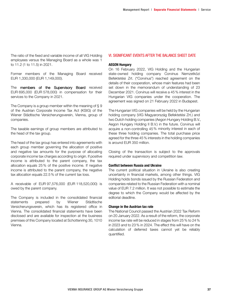The ratio of the fixed and variable income of all VIG Holding employees versus the Managing Board as a whole was 1 to 11.2 (1 to 11.5) in 2021.

Former members of the Managing Board received EUR 1,330,000 (EUR 1,149,000).

The members of the Supervisory Board received EUR 695,000 (EUR 578,000) in compensation for their services to the Company in 2021.

The Company is a group member within the meaning of § 9 of the Austrian Corporate Income Tax Act (KStG) of the Wiener Städtische Versicherungsverein, Vienna, group of companies.

The taxable earnings of group members are attributed to the head of the tax group.

The head of the tax group has entered into agreements with each group member governing the allocation of positive and negative tax amounts for the purpose of allocating corporate income tax charges according to origin. If positive income is attributed to the parent company, the tax allocation equals 25% of the positive income. If negative income is attributed to the parent company, the negative tax allocation equals 22.5% of the current tax loss.

A receivable of EUR 97,576,000 (EUR 118,520,000) is owed by the parent company.

The Company is included in the consolidated financial statements prepared by Wiener Städtische Versicherungsverein, which has its registered office in Vienna. The consolidated financial statements have been disclosed and are available for inspection at the business premises of this Company located at Schottenring 30, 1010 Vienna.

#### VI. SIGNIFICANT EVENTS AFTER THE BALANCE SHEET DATE

#### AEGON Hungary

On 16 February 2022, VIG Holding and the Hungarian state-owned holding company Corvinus Nemzetközi Befektetési Zrt. ("Corvinus") reached agreement on the details of their cooperation, whose main features had been set down in the memorandum of understanding of 23 December 2021. Corvinus will receive a 45% interest in the Hungarian VIG companies under the cooperation. The agreement was signed on 21 February 2022 in Budapest.

The Hungarian VIG companies will be held by the Hungarian holding company (VIG Magyarország Befektetési Zrt.) and two Dutch holding companies (Aegon Hungary Holding B.V., Aegon Hungary Holding II B.V.) in the future. Corvinus will acquire a non-controlling 45% minority interest in each of these three holding companies. The total purchase price agreed for the three 45% interests in the holding companies is around EUR 350 million.

Closing of the transaction is subject to the approvals required under supervisory and competition law.

#### Conflict between Russia and Ukraine

The current political situation in Ukraine is also creating uncertainty in financial markets, among other things. VIG Holding holds bonds issued by the Russian Federation and companies related to the Russian Federation with a nominal value of EUR 7.2 million. It was not possible to estimate the degree to which the Company would be affected by the editorial deadline.

#### Change in the Austrian tax rate

The National Council passed the Austrian 2022 Tax Reform on 20 January 2022. As a result of the reform, the corporate income tax rate will be reduced in stages from 25% to 24% in 2023 and to 23% in 2024. The effect this will have on the calculation of deferred taxes cannot yet be reliably quantified.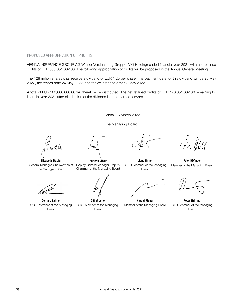# PROPOSED APPROPRIATION OF PROFITS

VIENNA INSURANCE GROUP AG Wiener Versicherung Gruppe (VIG Holding) ended financial year 2021 with net retained profits of EUR 338,351,602.38. The following appropriation of profits will be proposed in the Annual General Meeting:

The 128 million shares shall receive a dividend of EUR 1.25 per share. The payment date for this dividend will be 25 May 2022, the record date 24 May 2022, and the ex-dividend date 23 May 2022.

A total of EUR 160,000,000.00 will therefore be distributed. The net retained profits of EUR 178,351,602.38 remaining for financial year 2021 after distribution of the dividend is to be carried forward.

Vienna, 16 March 2022

The Managing Board:

Elisabeth Stadler General Manager, Chairwoman of the Managing Board

Gerhard Lahner COO, Member of the Managing Board

Hartwig Löger Deputy General Manager, Deputy Chairman of the Managing Board

Gábor Lehel CIO, Member of the Managing Board

Liane Hirner CFRO, Member of the Managing Board

Harald Riener Member of the Managing Board

Peter Höfinger Member of the Managing Board

Peter Thirring CTO, Member of the Managing Board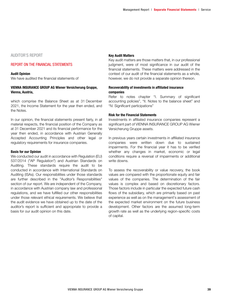# AUDITOR'S REPORT

### REPORT ON THE FINANCIAL STATEMENTS

#### Audit Opinion We have audited the financial statements of

#### VIENNA INSURANCE GROUP AG Wiener Versicherung Gruppe, Vienna, Austria,

which comprise the Balance Sheet as at 31 December 2021, the Income Statement for the year then ended, and the Notes.

In our opinion, the financial statements present fairly, in all material respects, the financial position of the Company as at 31 December 2021 and its financial performance for the year then ended, in accordance with Austrian Generally Accepted Accounting Principles and other legal or regulatory requirements for insurance companies.

#### Basis for our Opinion

We conducted our audit in accordance with Regulation (EU) 537/2014 ("AP Regulation") and Austrian Standards on Auditing. These standards require the audit to be conducted in accordance with International Standards on Auditing (ISAs). Our responsibilities under those standards are further described in the "Auditor's Responsibilities" section of our report. We are independent of the Company, in accordance with Austrian company law and professional regulations, and we have fulfilled our other responsibilities under those relevant ethical requirements. We believe that the audit evidence we have obtained up to the date of the auditor's report is sufficient and appropriate to provide a basis for our audit opinion on this date.

#### Key Audit Matters

Key audit matters are those matters that, in our professional judgment, were of most significance in our audit of the financial statements. These matters were addressed in the context of our audit of the financial statements as a whole, however, we do not provide a separate opinion thereon.

#### Recoverability of investments in affiliated insurance companies

Refer to notes chapter "I. Summary of significant accounting policies", "II. Notes to the balance sheet" and "IV. Significant participations"

#### Risk for the Financial Statements

Investments in affiliated insurance companies represent a significant part of VIENNA INSURANCE GROUP AG Wiener Versicherung Gruppe assets.

In previous years certain investments in affiliated insurance companies were written down due to sustained impairments. For the financial year it has to be verified whether any changes in market, economic or legal conditions require a reversal of impairments or additional write downs.

To assess the recoverability or value recovery, the book values are compared with the proportionate equity and fair values of the companies. The determination of the fair values is complex and based on discretionary factors. Those factors include in particular the expected future cash flows of the subsidiary, which are primarily based on past experience as well as on the management's assessment of the expected market environment on the future business development. Other factors are the assumed long-term growth rate as well as the underlying region-specific costs of capital.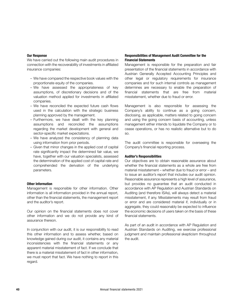#### Our Response

We have carried out the following main audit procedures in connection with the recoverability of investments in affiliated insurance companies:

- We have compared the respective book values with the proportionate equity of the companies.
- We have assessed the appropriateness of key assumptions, of discretionary decisions and of the valuation method applied for investments in affiliated companies.
- We have reconciled the expected future cash flows used in the calculation with the strategic business planning approved by the management.
- Furthermore, we have dealt with the key planning assumptions and reconciled the assumptions regarding the market development with general and sector-specific market expectations.
- We have analyzed the consistency of planning data using information from prior periods.
- Given that minor changes in the applied cost of capital rate significantly impact the determined fair value, we have, together with our valuation specialists, assessed the determination of the applied cost of capital rate and comprehended the derivation of the underlying parameters.

#### Other Information

Management is responsible for other information. Other information is all information provided in the annual report, other than the financial statements, the management report and the auditor's report.

Our opinion on the financial statements does not cover other information and we do not provide any kind of assurance thereon.

In conjunction with our audit, it is our responsibility to read this other information and to assess whether, based on knowledge gained during our audit, it contains any material inconsistencies with the financial statements or any apparent material misstatement of fact. If we conclude that there is a material misstatement of fact in other information, we must report that fact. We have nothing to report in this regard.

#### Responsibilities of Management Audit Committee for the Financial Statements

Management is responsible for the preparation and fair presentation of the financial statements in accordance with Austrian Generally Accepted Accounting Principles and other legal or regulatory requirements for insurance companies and for such internal controls as management determines are necessary to enable the preparation of financial statements that are free from material misstatement, whether due to fraud or error.

Management is also responsible for assessing the Company's ability to continue as a going concern, disclosing, as applicable, matters related to going concern and using the going concern basis of accounting, unless management either intends to liquidate the Company or to cease operations, or has no realistic alternative but to do so.

The audit committee is responsible for overseeing the Company's financial reporting process.

#### Auditor's Responsibilities

Our objectives are to obtain reasonable assurance about whether the financial statements as a whole are free from material misstatement – whether due to fraud or error – and to issue an auditor's report that includes our audit opinion. Reasonable assurance represents a high level of assurance, but provides no guarantee that an audit conducted in accordance with AP Regulation and Austrian Standards on Auditing (and therefore ISAs), will always detect a material misstatement, if any. Misstatements may result from fraud or error and are considered material if, individually or in aggregate, they could reasonably be expected to influence the economic decisions of users taken on the basis of these financial statements.

As part of an audit in accordance with AP Regulation and Austrian Standards on Auditing, we exercise professional judgment and maintain professional skepticism throughout the audit.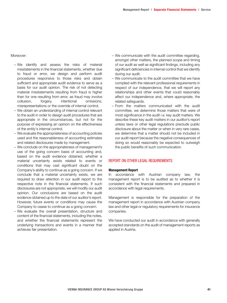Moreover:

- We identify and assess the risks of material misstatements in the financial statements, whether due to fraud or error, we design and perform audit procedures responsive to those risks and obtain sufficient and appropriate audit evidence to serve as a basis for our audit opinion. The risk of not detecting material misstatements resulting from fraud is higher than for one resulting from error, as fraud may involve collusion, forgery, intentional omissions, misrepresentations or the override of internal control.
- We obtain an understanding of internal control relevant to the audit in order to design audit procedures that are appropriate in the circumstances, but not for the purpose of expressing an opinion on the effectiveness of the entity's internal control.
- We evaluate the appropriateness of accounting policies used and the reasonableness of accounting estimates and related disclosures made by management.
- We conclude on the appropriateness of management's use of the going concern basis of accounting and, based on the audit evidence obtained, whether a material uncertainty exists related to events or conditions that may cast significant doubt on the Company's ability to continue as a going concern. If we conclude that a material uncertainty exists, we are required to draw attention in our audit report to the respective note in the financial statements. If such disclosures are not appropriate, we will modify our audit opinion. Our conclusions are based on the audit evidence obtained up to the date of our auditor's report. However, future events or conditions may cause the Company to cease to continue as a going concern.
- We evaluate the overall presentation, structure and content of the financial statements, including the notes, and whether the financial statements represent the underlying transactions and events in a manner that achieves fair presentation.
- We communicate with the audit committee regarding, amongst other matters, the planned scope and timing of our audit as well as significant findings, including any significant deficiencies in internal control that we identify during our audit.
- We communicate to the audit committee that we have complied with the relevant professional requirements in respect of our independence, that we will report any relationships and other events that could reasonably affect our independence and, where appropriate, the related safeguards.
- From the matters communicated with the audit committee, we determine those matters that were of most significance in the audit i.e. key audit matters. We describe these key audit matters in our auditor's report unless laws or other legal regulations preclude public disclosure about the matter or when in very rare cases, we determine that a matter should not be included in our audit report because the negative consequences of doing so would reasonably be expected to outweigh the public benefits of such communication.

#### REPORT ON OTHER LEGAL REQUIREMENTS

#### Management Report

In accordance with Austrian company law, the management report is to be audited as to whether it is consistent with the financial statements and prepared in accordance with legal requirements.

Management is responsible for the preparation of the management report in accordance with Austrian company law and other legal or regulatory requirements for insurance companies.

We have conducted our audit in accordance with generally accepted standards on the audit of management reports as applied in Austria.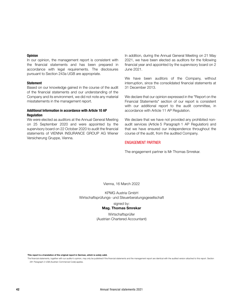#### **Opinion**

In our opinion, the management report is consistent with the financial statements and has been prepared in accordance with legal requirements. The disclosures pursuant to Section 243a UGB are appropriate.

#### **Statement**

Based on our knowledge gained in the course of the audit of the financial statements and our understanding of the Company and its environment, we did not note any material misstatements in the management report.

#### Additional Information in accordance with Article 10 AP **Requlation**

We were elected as auditors at the Annual General Meeting on 25 September 2020 and were appointed by the supervisory board on 22 October 2020 to audit the financial statements of VIENNA INSURANCE GROUP AG Wiener Versicherung Gruppe, Vienna.

In addition, during the Annual General Meeting on 21 May 2021, we have been elected as auditors for the following financial year and appointed by the supervisory board on 2 June 2021.

We have been auditors of the Company, without interruption, since the consolidated financial statements at 31 December 2013.

We declare that our opinion expressed in the "Report on the Financial Statements" section of our report is consistent with our additional report to the audit committee, in accordance with Article 11 AP Regulation.

We declare that we have not provided any prohibited nonaudit services (Article 5 Paragraph 1 AP Regulation) and that we have ensured our independence throughout the course of the audit, from the audited Company.

#### ENGAGEMENT PARTNER

The engagement partner is Mr Thomas Smrekar.

Vienna, 16 March 2022

KPMG Austria GmbH Wirtschaftsprüfungs- und Steuerberatungsgesellschaft

signed by:

#### Mag. Thomas Smrekar

Wirtschaftsprüfer (Austrian Chartered Accountant)

This report is a translation of the original report in German, which is solely valid.

The financial statements, together with our auditor's opinion, may only be published if the financial statements and the management report are identical with the audited version attached to this report. Section 281 Paragraph 2 UGB (Austrian Commercial Code) applies.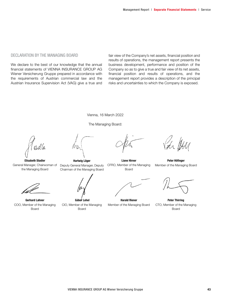#### DECLARATION BY THE MANAGING BOARD

We declare to the best of our knowledge that the annual financial statements of VIENNA INSURANCE GROUP AG Wiener Versicherung Gruppe prepared in accordance with the requirements of Austrian commercial law and the Austrian Insurance Supervision Act (VAG) give a true and fair view of the Company's net assets, financial position and results of operations, the management report presents the business development, performance and position of the Company so as to give a true and fair view of its net assets, financial position and results of operations, and the management report provides a description of the principal risks and uncertainties to which the Company is exposed.

Vienna, 16 March 2022





Elisabeth Stadler General Manager, Chairwoman of the Managing Board



Gerhard Lahner COO, Member of the Managing Board



Deputy General Manager, Deputy Chairman of the Managing Board



Liane Hirner CFRO, Member of the Managing Board



Peter Höfinger Member of the Managing Board



Peter Thirring CTO, Member of the Managing Board



Gábor Lehel CIO, Member of the Managing Board

Harald Riener Member of the Managing Board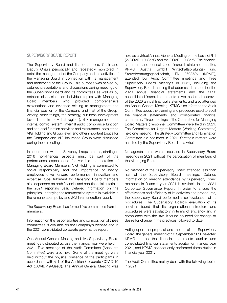# SUPERVISORY BOARD REPORT

The Supervisory Board and its committees, Chair and Deputy Chairs periodically and repeatedly monitored in detail the management of the Company and the activities of the Managing Board in connection with its management and monitoring of the Group. This purpose was served by detailed presentations and discussions during meetings of the Supervisory Board and its committees as well as by detailed discussions on individual topics with Managing Board members who provided comprehensive explanations and evidence relating to management, the financial position of the Company and that of the Group. Among other things, the strategy, business development (overall and in individual regions), risk management, the internal control system, internal audit, compliance function and actuarial function activities and reinsurance, both at the VIG Holding and Group level, and other important topics for the Company and VIG Insurance Group were discussed during these meetings.

In accordance with the Solvency II requirements, starting in 2016 non-financial aspects must be part of the performance expectations for variable remuneration of Managing Board Members. VIG Holding is committed to social responsibility and the importance of having employees drive forward performance, innovation and expertise. Goal fulfilment for Managing Board members also depended on both financial and non-financial criteria in the 2021 reporting year. Detailed information on the principles underlying the remuneration system is available in the remuneration policy and 2021 remuneration report.

The Supervisory Board has formed five committees from its members.

Information on the responsibilities and composition of these committees is available on the Company's website and in the 2021 consolidated corporate governance report.

One Annual General Meeting and five Supervisory Board meetings distributed across the financial year were held in 2021. Five meetings of the Audit Committee (Accounts Committee) were also held. Some of the meetings were held without the physical presence of the participants in accordance with § 1 of the Austrian Corporate COVID-19 Act (COVID-19-GesG). The Annual General Meeting was

held as a virtual Annual General Meeting on the basis of § 1 (2) COVID-19-GesG and the COVID-19-GesV. The financial statement and consolidated financial statement auditor, KPMG Austria GmbH Wirtschaftsprüfungs- und Steuerberatungsgesellschaft, FN 269873y (KPMG), attended four Audit Committee meetings and three Supervisory Board meetings in 2021, including the Supervisory Board meeting that addressed the audit of the 2020 annual financial statements and the 2020 consolidated financial statements as well as formal approval of the 2020 annual financial statements, and also attended the Annual General Meeting. KPMG also informed the Audit Committee about the planning and procedure used to audit the financial statements and consolidated financial statements. Three meetings of the Committee for Managing Board Matters (Personnel Committee) were held in 2021. The Committee for Urgent Matters (Working Committee) held one meeting. The Strategy Committee and Nomination Committee did not meet in 2021. Strategic matters were handled by the Supervisory Board as a whole.

No agenda items were discussed in Supervisory Board meetings in 2021 without the participation of members of the Managing Board.

No member of the Supervisory Board attended less than half of the Supervisory Board meetings. Detailed information on meeting attendance by Supervisory Board members in financial year 2021 is available in the 2021 Corporate Governance Report. In order to ensure the effectiveness and efficiency of its activities and procedures, the Supervisory Board performed a self-evaluation of its procedures. The Supervisory Board's evaluation of its activities found that its organisational structure and procedures were satisfactory in terms of efficiency and in compliance with the law. It found no need for change or desire for change in the practices followed to date.

Acting upon the proposal and motion of the Supervisory Board, the general meeting of 25 September 2020 selected KPMG to be the financial statements auditor and consolidated financial statements auditor for financial year 2021, and KPMG consequently performed these duties in financial year 2021.

The Audit Committee mainly dealt with the following topics in 2021: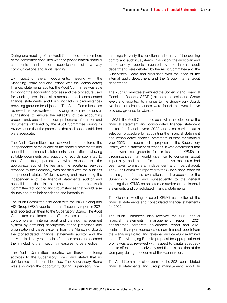During one meeting of the Audit Committee, the members of the committee consulted with the (consolidated) financial statements auditor on specification of two-way communications and audit planning.

By inspecting relevant documents, meeting with the Managing Board and discussions with the (consolidated) financial statements auditor, the Audit Committee was able to monitor the accounting process and the procedure used for auditing the financial statements and consolidated financial statements, and found no facts or circumstances providing grounds for objection. The Audit Committee also reviewed the possibilities of providing recommendations or suggestions to ensure the reliability of the accounting process and, based on the comprehensive information and documents obtained by the Audit Committee during its review, found that the processes that had been established were adequate.

The Audit Committee also reviewed and monitored the independence of the auditor of the financial statements and consolidated financial statements, and after reviewing suitable documents and supporting records submitted to the Committee, particularly with respect to the appropriateness of the fee and the additional services provided to the Company, was satisfied with the auditor's independent status. While reviewing and monitoring the independence of the financial statements auditor and consolidated financial statements auditor, the Audit Committee did not find any circumstances that would raise doubts about its independence and impartiality.

The Audit Committee also dealt with the VIG Holding and VIG Group ORSA reports and the IT security report in 2021 and reported on them to the Supervisory Board. The Audit Committee monitored the effectiveness of the internal control system, internal audit and the risk management system by obtaining descriptions of the processes and organisation of these systems from the Managing Board, the (consolidated) financial statements auditor and the individuals directly responsible for these areas and deemed them, including the IT security measures, to be effective.

The Audit Committee reported on these monitoring activities to the Supervisory Board and stated that no deficiencies had been identified. The Supervisory Board was also given the opportunity during Supervisory Board meetings to verify the functional adequacy of the existing control and auditing systems. In addition, the audit plan and the quarterly reports prepared by the internal audit department were debated by the Audit Committee and the Supervisory Board and discussed with the head of the internal audit department and the Group internal audit department.

The Audit Committee examined the Solvency and Financial Condition Reports (SFCRs) at both the solo and Group levels and reported its findings to the Supervisory Board. No facts or circumstances were found that would have provided grounds for objection.

In 2021, the Audit Committee dealt with the selection of the financial statement and consolidated financial statement auditor for financial year 2022 and also carried out a selection procedure for appointing the financial statement and consolidated financial statement auditor for financial year 2023 and submitted a proposal to the Supervisory Board, with a statement of reasons. It was determined that there were no grounds for exclusion of KPMG or circumstances that would give rise to concerns about impartiality, and that sufficient protective measures had been taken to ensure an independent and impartial audit. The Audit Committee reported to the Supervisory Board on the insights of these evaluations and proposed to the Supervisory Board and subsequently to the general meeting that KPMG be selected as auditor of the financial statements and consolidated financial statements.

The General Meeting selected KPMG as auditor of the financial statements and consolidated financial statements for 2022.

The Audit Committee also received the 2021 annual financial statements, management report, 2021 consolidated corporate governance report and 2021 sustainability report (consolidated non-financial report) from the Managing Board, and reviewed and carefully examined them. The Managing Board's proposal for appropriation of profits was also reviewed with respect to capital adequacy and its effects on the solvency and financial position of the Company during the course of this examination.

The Audit Committee also examined the 2021 consolidated financial statements and Group management report. In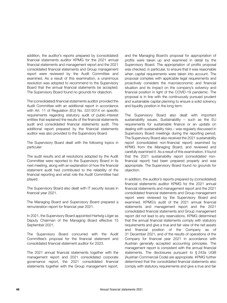addition, the auditor's reports prepared by (consolidated) financial statements auditor KPMG for the 2021 annual financial statements and management report and the 2021 consolidated financial statements and Group management report were reviewed by the Audit Committee and examined. As a result of this examination, a unanimous resolution was adopted to recommend to the Supervisory Board that the annual financial statements be accepted. The Supervisory Board found no grounds for objection.

The (consolidated) financial statements auditor provided the Audit Committee with an additional report in accordance with Art. 11 of Regulation (EU) No. 537/2014 on specific requirements regarding statutory audit of public-interest entities that explained the results of the financial statements audit and consolidated financial statements audit. This additional report prepared by the financial statements auditor was also provided to the Supervisory Board.

The Supervisory Board dealt with the following topics in particular:

The audit results and all resolutions adopted by the Audit Committee were reported to the Supervisory Board in its next meeting, along with an explanation of how the financial statement audit had contributed to the reliability of the financial reporting and what role the Audit Committee had played.

The Supervisory Board also dealt with IT security issues in financial year 2021.

The Managing Board and Supervisory Board prepared a remuneration report for financial year 2021.

In 2021, the Supervisory Board appointed Hartwig Löger as Deputy Chairman of the Managing Board effective 15 September 2021.

The Supervisory Board concurred with the Audit Committee's proposal for the financial statement and consolidated financial statement auditor for 2023.

The 2021 annual financial statements together with the management report and 2021 consolidated corporate governance report, the 2021 consolidated financial statements together with the Group management report, and the Managing Board's proposal for appropriation of profits were taken up and examined in detail by the Supervisory Board. The appropriation of profits proposal was checked, in particular, to ensure that it was reasonable when capital requirements were taken into account. The proposal complies with applicable legal requirements and proactively considers the macroeconomic and financial situation and its impact on the company's solvency and financial position in light of the COVID-19 pandemic. The proposal is in line with the continuously pursued prudent and sustainable capital planning to ensure a solid solvency and liquidity position in the long term.

The Supervisory Board also dealt with important sustainability issues. Sustainability – such as the EU requirements for sustainable finance or an update on dealing with sustainability risks – was regularly discussed in Supervisory Board meetings during the reporting period. The Supervisory Board also received the 2021 sustainability report (consolidated non-financial report) examined by KPMG from the Managing Board, and reviewed and carefully examined it. As a result of this examination, it found that the 2021 sustainability report (consolidated nonfinancial report) had been prepared properly and was appropriate. The Supervisory Board found no grounds for objection.

In addition, the auditor's reports prepared by (consolidated) financial statements auditor KPMG for the 2021 annual financial statements and management report and the 2021 consolidated financial statements and Group management report were reviewed by the Supervisory Board and examined. KPMG's audit of the 2021 annual financial statements and management report and the 2021 consolidated financial statements and Group management report did not lead to any reservations. KPMG determined that the annual financial statements comply with statutory requirements and give a true and fair view of the net assets and financial position of the Company as of 31 December 2021, and of the results of operations of the Company for financial year 2021 in accordance with Austrian generally accepted accounting principles. The management report is consistent with the annual financial statements. The disclosures pursuant to § 243a UGB (Austrian Commercial Code) are appropriate. KPMG further determined that the consolidated financial statements also comply with statutory requirements and give a true and fair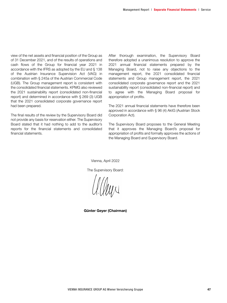view of the net assets and financial position of the Group as of 31 December 2021, and of the results of operations and cash flows of the Group for financial year 2021 in accordance with the IFRS as adopted by the EU and § 138 of the Austrian Insurance Supervision Act (VAG) in combination with § 245a of the Austrian Commercial Code (UGB). The Group management report is consistent with the consolidated financial statements. KPMG also reviewed the 2021 sustainability report (consolidated non-financial report) and determined in accordance with § 269 (3) UGB that the 2021 consolidated corporate governance report had been prepared.

The final results of the review by the Supervisory Board did not provide any basis for reservation either. The Supervisory Board stated that it had nothing to add to the auditor's reports for the financial statements and consolidated financial statements.

After thorough examination, the Supervisory Board therefore adopted a unanimous resolution to approve the 2021 annual financial statements prepared by the Managing Board, not to raise any objections to the management report, the 2021 consolidated financial statements and Group management report, the 2021 consolidated corporate governance report and the 2021 sustainability report (consolidated non-financial report) and to agree with the Managing Board proposal for appropriation of profits.

The 2021 annual financial statements have therefore been approved in accordance with § 96 (4) AktG (Austrian Stock Corporation Act).

The Supervisory Board proposes to the General Meeting that it approves the Managing Board's proposal for appropriation of profits and formally approves the actions of the Managing Board and Supervisory Board.

Vienna, April 2022

The Supervisory Board:

allan

Günter Geyer (Chairman)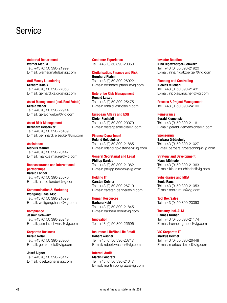# **Service**

#### Actuarial Department Werner Matula

Tel.: +43 (0) 50 390-21999 E-mail: werner.matula@vig.com

Anti Money Laundering Gerhard Kalcik Tel.: +43 (0) 50 390-27053 E-mail: gerhard.kalcik@vig.com

#### Asset Management (incl. Real Estate) Gerald Weber

Tel.: +43 (0) 50 390-22914 E-mail: gerald.weber@vig.com

#### Asset Risk Management

Bernhard Reisecker Tel.: +43 (0) 50 390-25439 E-mail: bernhard.reisecker@vig.com

#### **Assistance**

Markus Maurer Tel.: +43 (0) 50 390-20147 E-mail: markus.maurer@vig.com

### Bancassurance and international partnerships

Harald Londer Tel.: +43 (0) 50 390-25670 E-mail: harald.londer@vig.com

#### Communication & Marketing Wolfgang Haas, MSc Tel.: +43 (0) 50 390-21029

E-mail: wolfgang.haas@vig.com

#### **Compliance**

Jasmin Schwarz Tel.: +43 (0) 50 390-20249 E-mail: jasmin.schwarz@vig.com

#### Corporate Business

Gerald Netal Tel.: +43 (0) 50 390-26900 E-mail: gerald.netal@vig.com

Josef Aigner Tel.: +43 (0) 50 390-26112 E-mail: josef.aigner@vig.com

Customer Experience Tel.: +43 (0) 50 390-20353

#### Digitalisation, Finance and Risk Bernhard Pfahnl

Tel.: +43 (0) 50 390-26922 E-mail: bernhard.pfahnl@vig.com

### Enterprise Risk Management Ronald Laszlo

Tel.: +43 (0) 50 390-25475 E-mail: ronald.laszlo@vig.com

#### European Affairs and ESG Dieter Pscheidl

Tel.: +43 (0) 50 390-20079 E-mail: dieter.pscheidl@vig.com

#### Finance Department Roland Goldsteiner

Tel.: +43 (0) 50 390-21865 E-mail: roland.goldsteiner@vig.com

#### General Secretariat and Legal Philipp Bardas Tel.: +43 (0) 50 390-21062

E-mail: philipp.bardas@vig.com

# Holding IT

Carsten Dehner Tel.: +43 (0) 50 390-26719 E-mail: carsten.dehner@vig.com

#### Human Resources

Barbara Hohl Tel.: +43 (0) 50 390-21845 E-mail: barbara.hohl@vig.com

Innovation Tel.: +43 (0) 50 390-25696

# Insurance Life/Non Life Retail Robert Wasner

Tel.: +43 (0) 50 390-23717 E-mail: robert.wasner@vig.com

# Internal Audit

Martin Pongratz Tel.: +43 (0) 50 390-21047 E-mail: martin.pongratz@vig.com

#### Investor Relations

Nina Higatzberger-Schwarz Tel.: +43 (0) 50 390-21920 E-mail: nina.higatzberger@vig.com

#### Planning and Controlling

Nicolas Mucherl Tel.: +43 (0) 50 390-21431 E-mail: nicolas.mucherl@vig.com

Process & Project Management Tel.: +43 (0) 50 390-24100

#### **Reinsurance**

Gerald Klemensich Tel.: +43 (0) 50 390-21161 E-mail: gerald.klemensich@vig.com

#### **Sponsoring**

Barbara Grötschnig Tel.: +43 (0) 50 390-21027 E-mail: barbara.groetschnig@vig.com

#### Strategy and Development

Klaus Mühleder Tel.: +43 (0) 50 390-21363 E-mail: klaus.muehleder@vig.com

# Subsidiaries and M&A

Sonja Raus Tel.: +43 (0) 50 390-21953 E-mail: sonja.raus@vig.com

Tool Box Sales Tel.: +43 (0) 50 390-20353

#### Treasury incl. ALM Hannes Gruber

Tel.: +43 (0) 50 390-21174 E-mail: hannes.gruber@vig.com

#### VIG Corporate IT

Markus Deimel Tel.: +43 (0) 50 390-26448 E-mail: markus.deimel@vig.com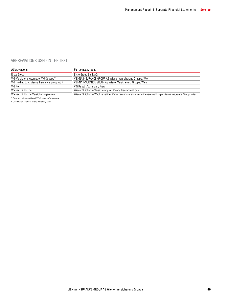# ABBREVIATIONS USED IN THE TEXT

| Abbreviations                                                      | Full company name                                                                                          |
|--------------------------------------------------------------------|------------------------------------------------------------------------------------------------------------|
| Erste Group                                                        | Erste Group Bank AG                                                                                        |
| VIG-Versicherungsgruppe, VIG-Gruppe <sup>1)</sup>                  | VIENNA INSURANCE GROUP AG Wiener Versicherung Gruppe, Wien                                                 |
| VIG Holding bzw. Vienna Insurance Group AG <sup>2)</sup>           | VIENNA INSURANCE GROUP AG Wiener Versicherung Gruppe, Wien                                                 |
| VIG Re                                                             | VIG Re zajišťovna, a.s., Prag                                                                              |
| Wiener Städtische                                                  | Wiener Städtische Versicherung AG Vienna Insurance Group                                                   |
| Wiener Städtische Versicherungsverein                              | Wiener Städtische Wechselseitiger Versicherungsverein - Vermögensverwaltung - Vienna Insurance Group, Wien |
| <sup>1)</sup> Refers to all consolidated VIG (insurance) companies |                                                                                                            |

<sup>2)</sup> Used when referring to the company itself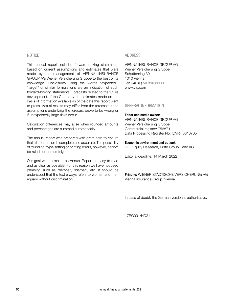### NOTICE

This annual report includes forward-looking statements based on current assumptions and estimates that were made by the management of VIENNA INSURANCE GROUP AG Wiener Versicherung Gruppe to the best of its knowledge. Disclosures using the words "expected", "target" or similar formulations are an indication of such forward-looking statements. Forecasts related to the future development of the Company are estimates made on the basis of information available as of the date this report went to press. Actual results may differ from the forecasts if the assumptions underlying the forecast prove to be wrong or if unexpectedly large risks occur.

Calculation differences may arise when rounded amounts and percentages are summed automatically.

The annual report was prepared with great care to ensure that all information is complete and accurate. The possibility of rounding, type-setting or printing errors, however, cannot be ruled out completely.

Our goal was to make the Annual Report as easy to read and as clear as possible. For this reason we have not used phrasing such as "he/she", "his/her", etc. It should be understood that the text always refers to women and men equally without discrimination.

#### ADDRESS

VIENNA INSURANCE GROUP AG Wiener Versicherung Gruppe Schottenring 30 1010 Vienna Tel: +43 (0) 50 390 22000 www.vig.com

# GENERAL INFORMATION

#### Editor and media owner:

VIENNA INSURANCE GROUP AG Wiener Versicherung Gruppe Commercial register: 75687 f Data Processing Register No. (DVR): 0016705

#### Economic environment and outlook:

CEE Equity Research, Erste Group Bank AG

Editorial deadline: 14 March 2022

Printing: WIENER STÄDTISCHE VERSICHERUNG AG Vienna Insurance Group, Vienna

In case of doubt, the German version is authoritative.

17PG001/HD21